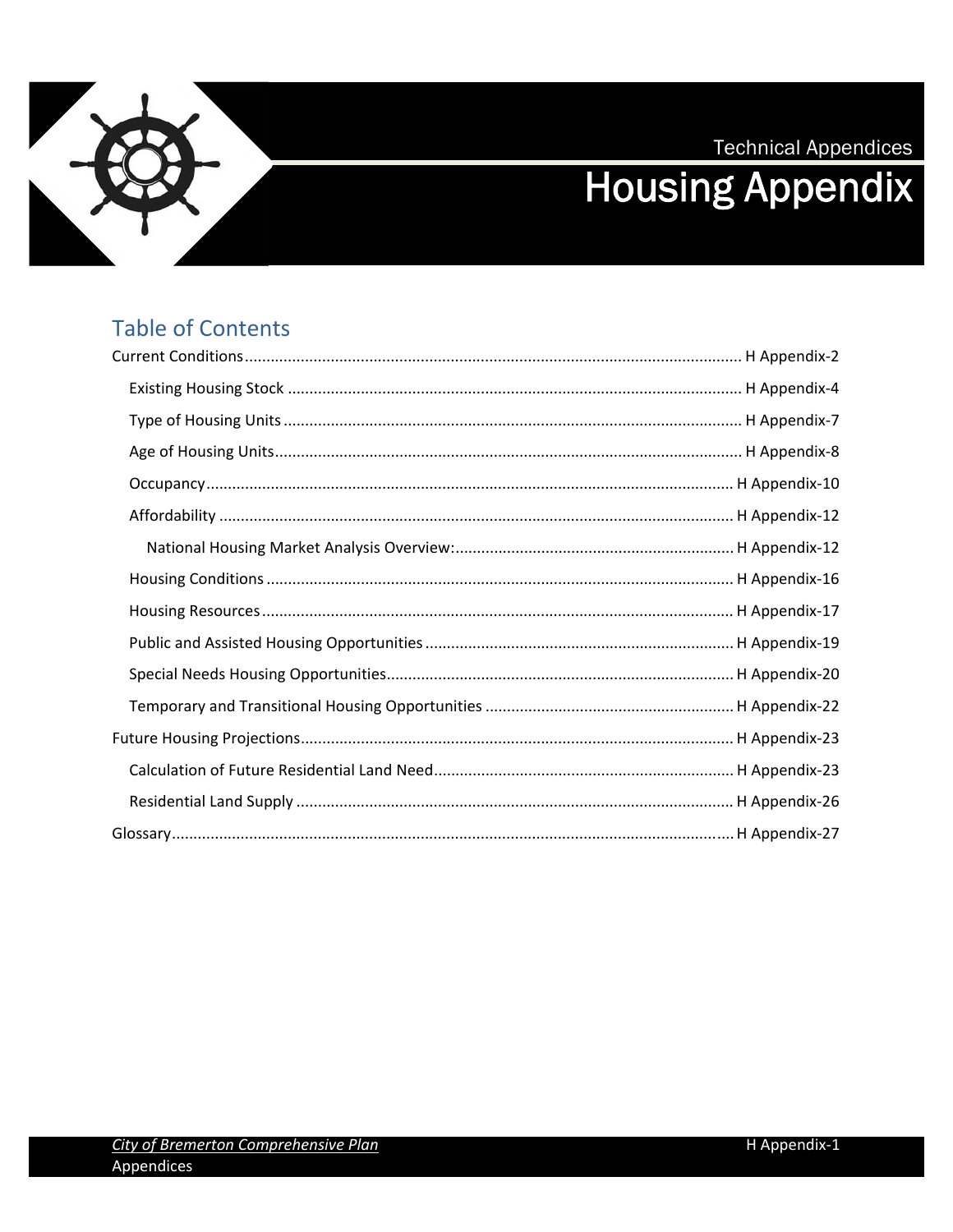**Technical Appendices** 



# **Housing Appendix**

### **Table of Contents**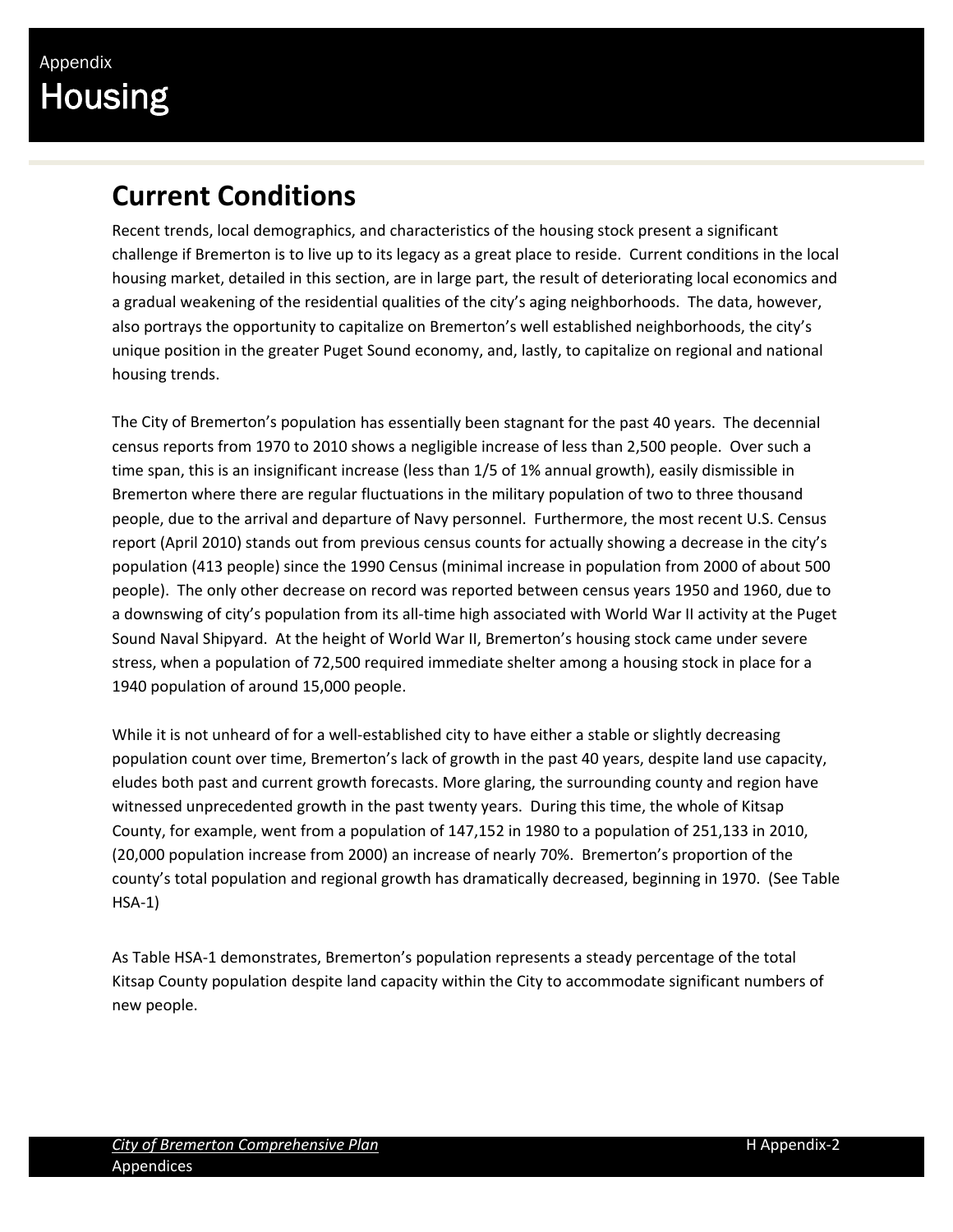## **Current Conditions**

Recent trends, local demographics, and characteristics of the housing stock present a significant challenge if Bremerton is to live up to its legacy as a great place to reside. Current conditions in the local housing market, detailed in this section, are in large part, the result of deteriorating local economics and a gradual weakening of the residential qualities of the city's aging neighborhoods. The data, however, also portrays the opportunity to capitalize on Bremerton's well established neighborhoods, the city's unique position in the greater Puget Sound economy, and, lastly, to capitalize on regional and national housing trends.

The City of Bremerton's population has essentially been stagnant for the past 40 years. The decennial census reports from 1970 to 2010 shows a negligible increase of less than 2,500 people. Over such a time span, this is an insignificant increase (less than 1/5 of 1% annual growth), easily dismissible in Bremerton where there are regular fluctuations in the military population of two to three thousand people, due to the arrival and departure of Navy personnel. Furthermore, the most recent U.S. Census report (April 2010) stands out from previous census counts for actually showing a decrease in the city's population (413 people) since the 1990 Census (minimal increase in population from 2000 of about 500 people). The only other decrease on record was reported between census years 1950 and 1960, due to a downswing of city's population from its all-time high associated with World War II activity at the Puget Sound Naval Shipyard. At the height of World War II, Bremerton's housing stock came under severe stress, when a population of 72,500 required immediate shelter among a housing stock in place for a 1940 population of around 15,000 people.

While it is not unheard of for a well-established city to have either a stable or slightly decreasing population count over time, Bremerton's lack of growth in the past 40 years, despite land use capacity, eludes both past and current growth forecasts. More glaring, the surrounding county and region have witnessed unprecedented growth in the past twenty years. During this time, the whole of Kitsap County, for example, went from a population of 147,152 in 1980 to a population of 251,133 in 2010, (20,000 population increase from 2000) an increase of nearly 70%. Bremerton's proportion of the county's total population and regional growth has dramatically decreased, beginning in 1970. (See Table HSA‐1)

As Table HSA‐1 demonstrates, Bremerton's population represents a steady percentage of the total Kitsap County population despite land capacity within the City to accommodate significant numbers of new people.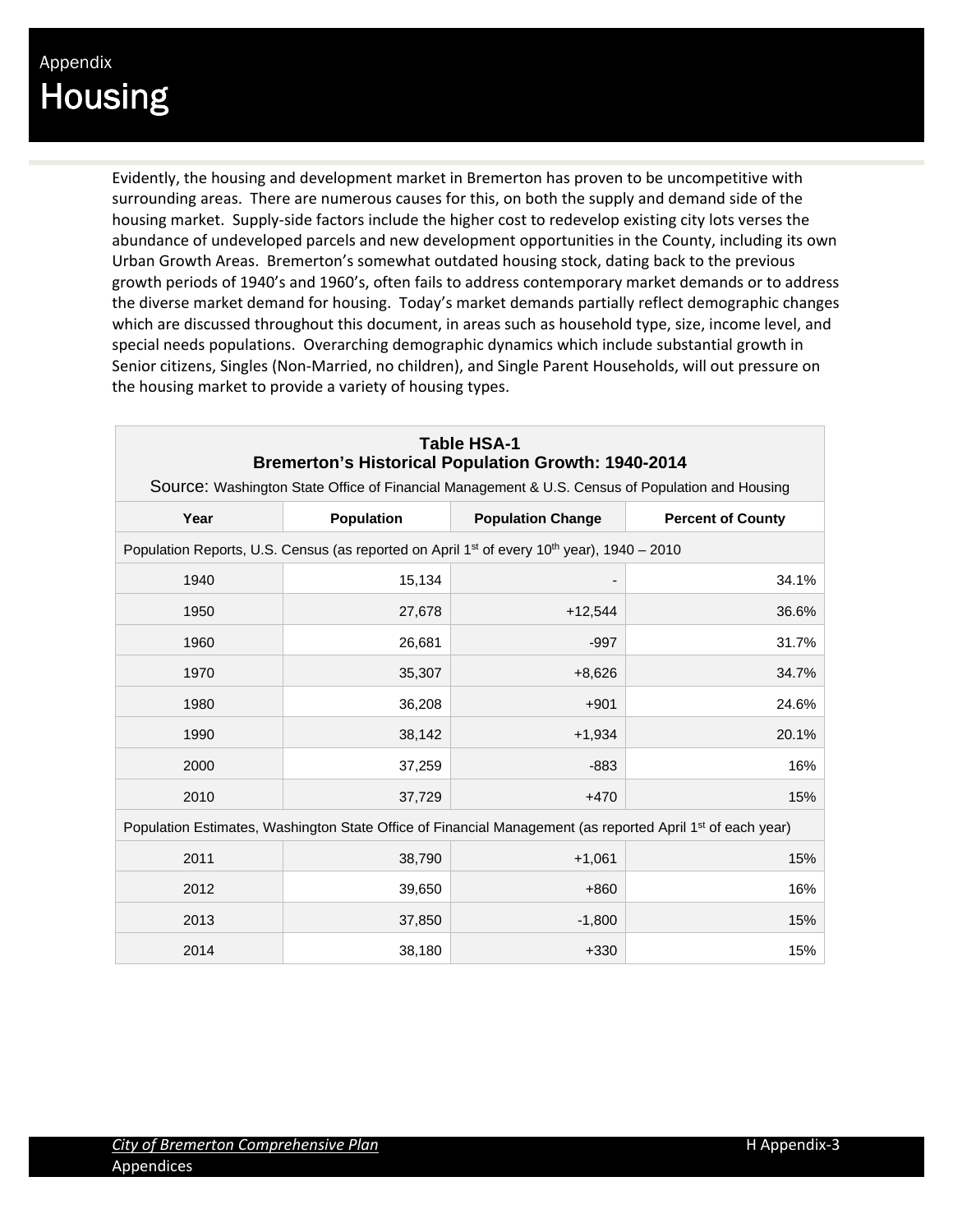Evidently, the housing and development market in Bremerton has proven to be uncompetitive with surrounding areas. There are numerous causes for this, on both the supply and demand side of the housing market. Supply‐side factors include the higher cost to redevelop existing city lots verses the abundance of undeveloped parcels and new development opportunities in the County, including its own Urban Growth Areas. Bremerton's somewhat outdated housing stock, dating back to the previous growth periods of 1940's and 1960's, often fails to address contemporary market demands or to address the diverse market demand for housing. Today's market demands partially reflect demographic changes which are discussed throughout this document, in areas such as household type, size, income level, and special needs populations. Overarching demographic dynamics which include substantial growth in Senior citizens, Singles (Non‐Married, no children), and Single Parent Households, will out pressure on the housing market to provide a variety of housing types.

| <b>Table HSA-1</b><br><b>Bremerton's Historical Population Growth: 1940-2014</b><br>Source: Washington State Office of Financial Management & U.S. Census of Population and Housing |        |                                                                                                                        |       |  |  |  |  |  |
|-------------------------------------------------------------------------------------------------------------------------------------------------------------------------------------|--------|------------------------------------------------------------------------------------------------------------------------|-------|--|--|--|--|--|
| Year<br>Population<br><b>Population Change</b><br><b>Percent of County</b>                                                                                                          |        |                                                                                                                        |       |  |  |  |  |  |
| Population Reports, U.S. Census (as reported on April 1 <sup>st</sup> of every 10 <sup>th</sup> year), 1940 – 2010                                                                  |        |                                                                                                                        |       |  |  |  |  |  |
| 1940                                                                                                                                                                                | 15,134 |                                                                                                                        | 34.1% |  |  |  |  |  |
| 1950                                                                                                                                                                                | 27,678 | $+12,544$                                                                                                              | 36.6% |  |  |  |  |  |
| 1960                                                                                                                                                                                | 26,681 | $-997$                                                                                                                 | 31.7% |  |  |  |  |  |
| 1970                                                                                                                                                                                | 35,307 | $+8,626$                                                                                                               | 34.7% |  |  |  |  |  |
| 1980                                                                                                                                                                                | 36,208 | $+901$                                                                                                                 | 24.6% |  |  |  |  |  |
| 1990                                                                                                                                                                                | 38,142 | $+1,934$                                                                                                               | 20.1% |  |  |  |  |  |
| 2000                                                                                                                                                                                | 37,259 | $-883$                                                                                                                 | 16%   |  |  |  |  |  |
| 2010                                                                                                                                                                                | 37,729 | $+470$                                                                                                                 | 15%   |  |  |  |  |  |
|                                                                                                                                                                                     |        | Population Estimates, Washington State Office of Financial Management (as reported April 1 <sup>st</sup> of each year) |       |  |  |  |  |  |
| 2011                                                                                                                                                                                | 38,790 | $+1,061$                                                                                                               | 15%   |  |  |  |  |  |
| 2012                                                                                                                                                                                | 39,650 | $+860$                                                                                                                 | 16%   |  |  |  |  |  |
| 2013                                                                                                                                                                                | 37,850 | $-1,800$                                                                                                               | 15%   |  |  |  |  |  |
| 2014                                                                                                                                                                                | 38,180 | $+330$                                                                                                                 | 15%   |  |  |  |  |  |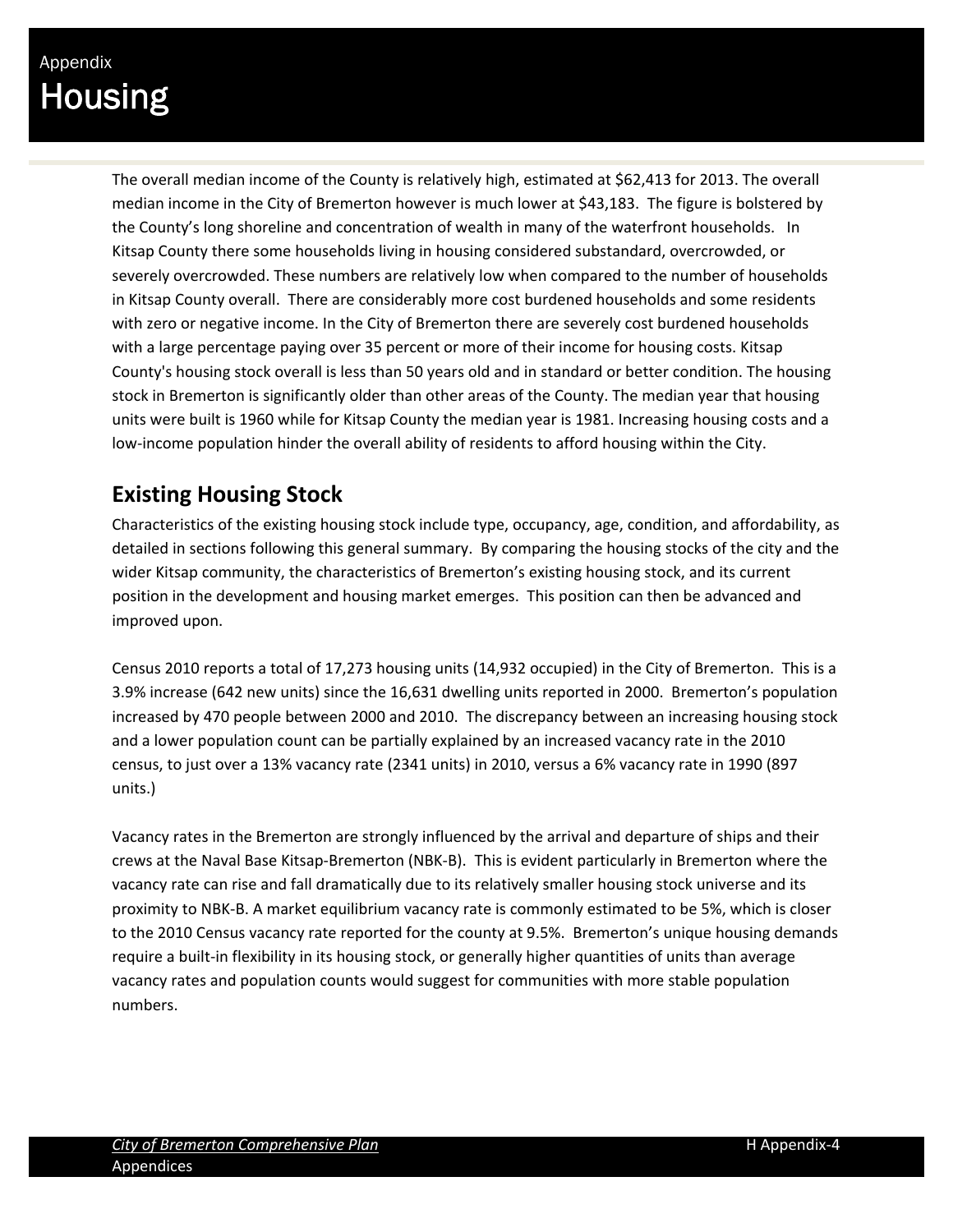The overall median income of the County is relatively high, estimated at \$62,413 for 2013. The overall median income in the City of Bremerton however is much lower at \$43,183. The figure is bolstered by the County's long shoreline and concentration of wealth in many of the waterfront households. In Kitsap County there some households living in housing considered substandard, overcrowded, or severely overcrowded. These numbers are relatively low when compared to the number of households in Kitsap County overall. There are considerably more cost burdened households and some residents with zero or negative income. In the City of Bremerton there are severely cost burdened households with a large percentage paying over 35 percent or more of their income for housing costs. Kitsap County's housing stock overall is less than 50 years old and in standard or better condition. The housing stock in Bremerton is significantly older than other areas of the County. The median year that housing units were built is 1960 while for Kitsap County the median year is 1981. Increasing housing costs and a low‐income population hinder the overall ability of residents to afford housing within the City.

### **Existing Housing Stock**

Characteristics of the existing housing stock include type, occupancy, age, condition, and affordability, as detailed in sections following this general summary. By comparing the housing stocks of the city and the wider Kitsap community, the characteristics of Bremerton's existing housing stock, and its current position in the development and housing market emerges. This position can then be advanced and improved upon.

Census 2010 reports a total of 17,273 housing units (14,932 occupied) in the City of Bremerton. This is a 3.9% increase (642 new units) since the 16,631 dwelling units reported in 2000. Bremerton's population increased by 470 people between 2000 and 2010. The discrepancy between an increasing housing stock and a lower population count can be partially explained by an increased vacancy rate in the 2010 census, to just over a 13% vacancy rate (2341 units) in 2010, versus a 6% vacancy rate in 1990 (897 units.)

Vacancy rates in the Bremerton are strongly influenced by the arrival and departure of ships and their crews at the Naval Base Kitsap‐Bremerton (NBK‐B). This is evident particularly in Bremerton where the vacancy rate can rise and fall dramatically due to its relatively smaller housing stock universe and its proximity to NBK‐B. A market equilibrium vacancy rate is commonly estimated to be 5%, which is closer to the 2010 Census vacancy rate reported for the county at 9.5%. Bremerton's unique housing demands require a built-in flexibility in its housing stock, or generally higher quantities of units than average vacancy rates and population counts would suggest for communities with more stable population numbers.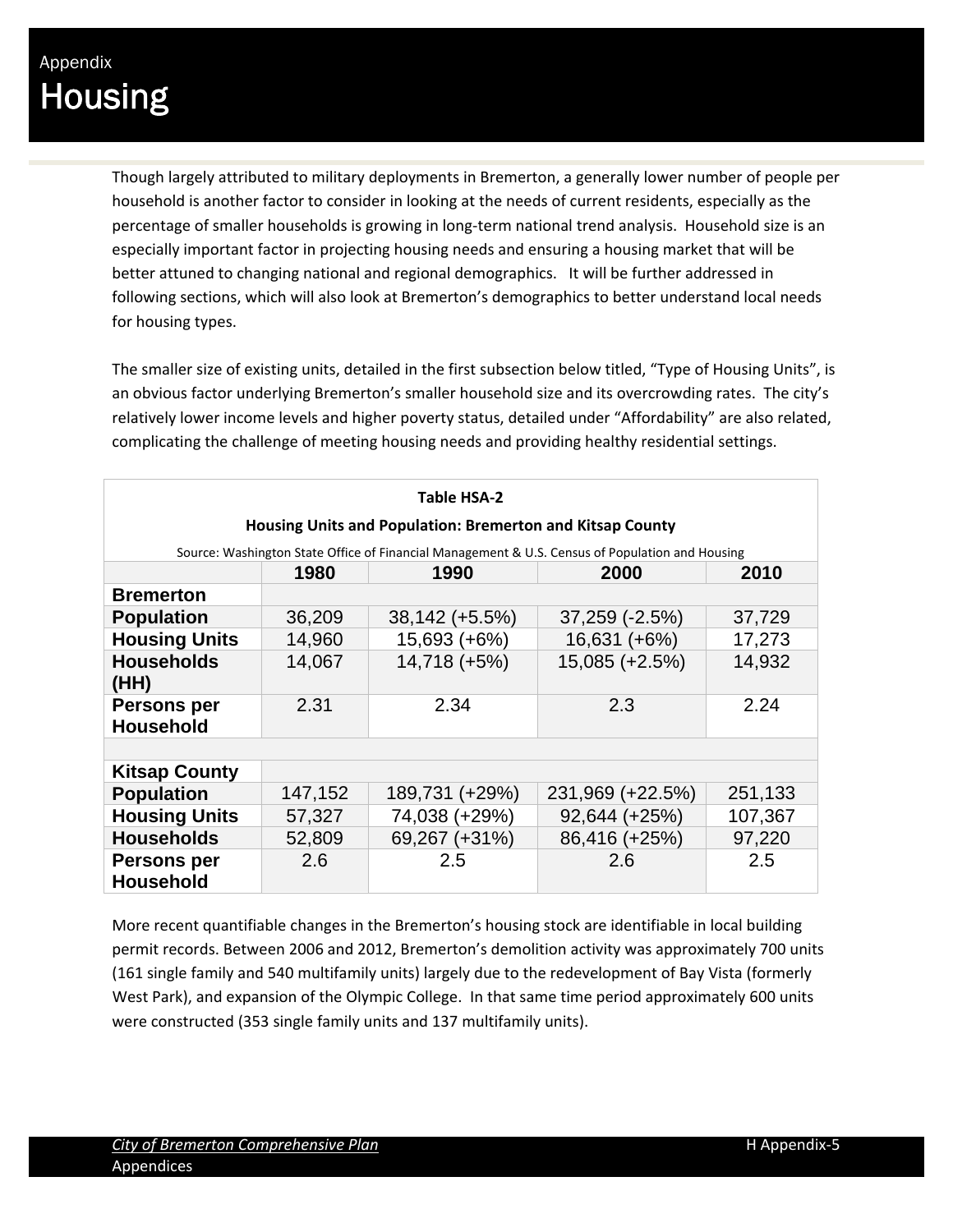Though largely attributed to military deployments in Bremerton, a generally lower number of people per household is another factor to consider in looking at the needs of current residents, especially as the percentage of smaller households is growing in long‐term national trend analysis. Household size is an especially important factor in projecting housing needs and ensuring a housing market that will be better attuned to changing national and regional demographics. It will be further addressed in following sections, which will also look at Bremerton's demographics to better understand local needs for housing types.

The smaller size of existing units, detailed in the first subsection below titled, "Type of Housing Units", is an obvious factor underlying Bremerton's smaller household size and its overcrowding rates. The city's relatively lower income levels and higher poverty status, detailed under "Affordability" are also related, complicating the challenge of meeting housing needs and providing healthy residential settings.

| Table HSA-2                                                                                     |         |                |                  |         |  |  |  |  |  |  |
|-------------------------------------------------------------------------------------------------|---------|----------------|------------------|---------|--|--|--|--|--|--|
| Housing Units and Population: Bremerton and Kitsap County                                       |         |                |                  |         |  |  |  |  |  |  |
| Source: Washington State Office of Financial Management & U.S. Census of Population and Housing |         |                |                  |         |  |  |  |  |  |  |
| 2000<br>2010<br>1980<br>1990                                                                    |         |                |                  |         |  |  |  |  |  |  |
| <b>Bremerton</b>                                                                                |         |                |                  |         |  |  |  |  |  |  |
| <b>Population</b>                                                                               | 36,209  | 38,142 (+5.5%) | 37,259 (-2.5%)   | 37,729  |  |  |  |  |  |  |
| <b>Housing Units</b>                                                                            | 14,960  | 15,693 (+6%)   | 16,631 (+6%)     | 17,273  |  |  |  |  |  |  |
| <b>Households</b><br>(HH)                                                                       | 14,067  | 14,718 (+5%)   | 15,085 (+2.5%)   | 14,932  |  |  |  |  |  |  |
| Persons per<br><b>Household</b>                                                                 | 2.31    | 2.34           | 2.3              | 2.24    |  |  |  |  |  |  |
|                                                                                                 |         |                |                  |         |  |  |  |  |  |  |
| <b>Kitsap County</b>                                                                            |         |                |                  |         |  |  |  |  |  |  |
| <b>Population</b>                                                                               | 147,152 | 189,731 (+29%) | 231,969 (+22.5%) | 251,133 |  |  |  |  |  |  |
| <b>Housing Units</b>                                                                            | 57,327  | 74,038 (+29%)  | 92,644 (+25%)    | 107,367 |  |  |  |  |  |  |
| <b>Households</b>                                                                               | 52,809  | 69,267 (+31%)  | 86,416 (+25%)    | 97,220  |  |  |  |  |  |  |
| Persons per<br><b>Household</b>                                                                 | 2.6     | 2.5            | 2.6              | 2.5     |  |  |  |  |  |  |

More recent quantifiable changes in the Bremerton's housing stock are identifiable in local building permit records. Between 2006 and 2012, Bremerton's demolition activity was approximately 700 units (161 single family and 540 multifamily units) largely due to the redevelopment of Bay Vista (formerly West Park), and expansion of the Olympic College. In that same time period approximately 600 units were constructed (353 single family units and 137 multifamily units).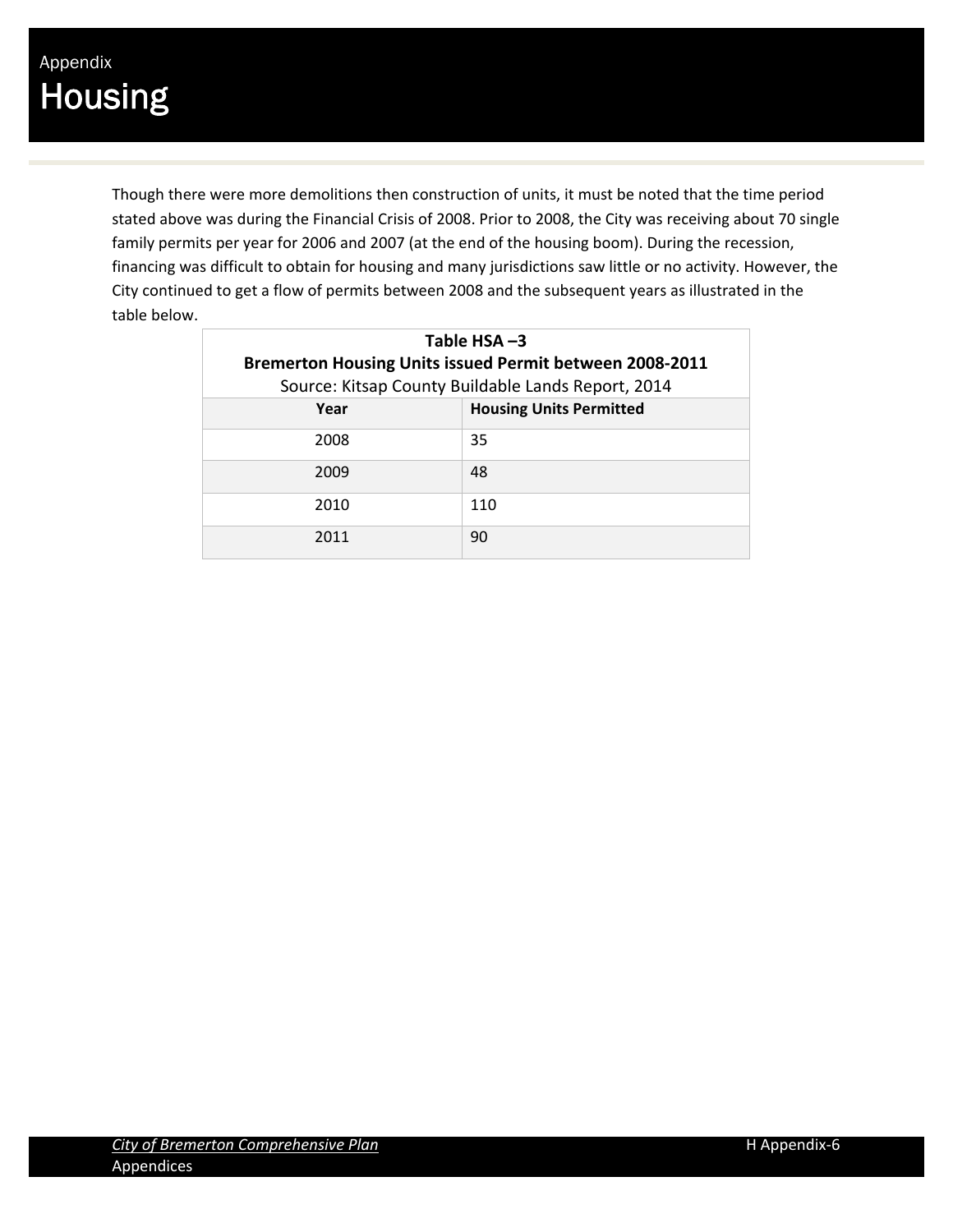Though there were more demolitions then construction of units, it must be noted that the time period stated above was during the Financial Crisis of 2008. Prior to 2008, the City was receiving about 70 single family permits per year for 2006 and 2007 (at the end of the housing boom). During the recession, financing was difficult to obtain for housing and many jurisdictions saw little or no activity. However, the City continued to get a flow of permits between 2008 and the subsequent years as illustrated in the table below.

| Table $HSA -3$<br><b>Bremerton Housing Units issued Permit between 2008-2011</b><br>Source: Kitsap County Buildable Lands Report, 2014 |     |  |  |  |  |  |  |
|----------------------------------------------------------------------------------------------------------------------------------------|-----|--|--|--|--|--|--|
| <b>Housing Units Permitted</b><br>Year                                                                                                 |     |  |  |  |  |  |  |
| 2008                                                                                                                                   | 35  |  |  |  |  |  |  |
| 2009                                                                                                                                   | 48  |  |  |  |  |  |  |
| 2010                                                                                                                                   | 110 |  |  |  |  |  |  |
| 2011                                                                                                                                   | 90  |  |  |  |  |  |  |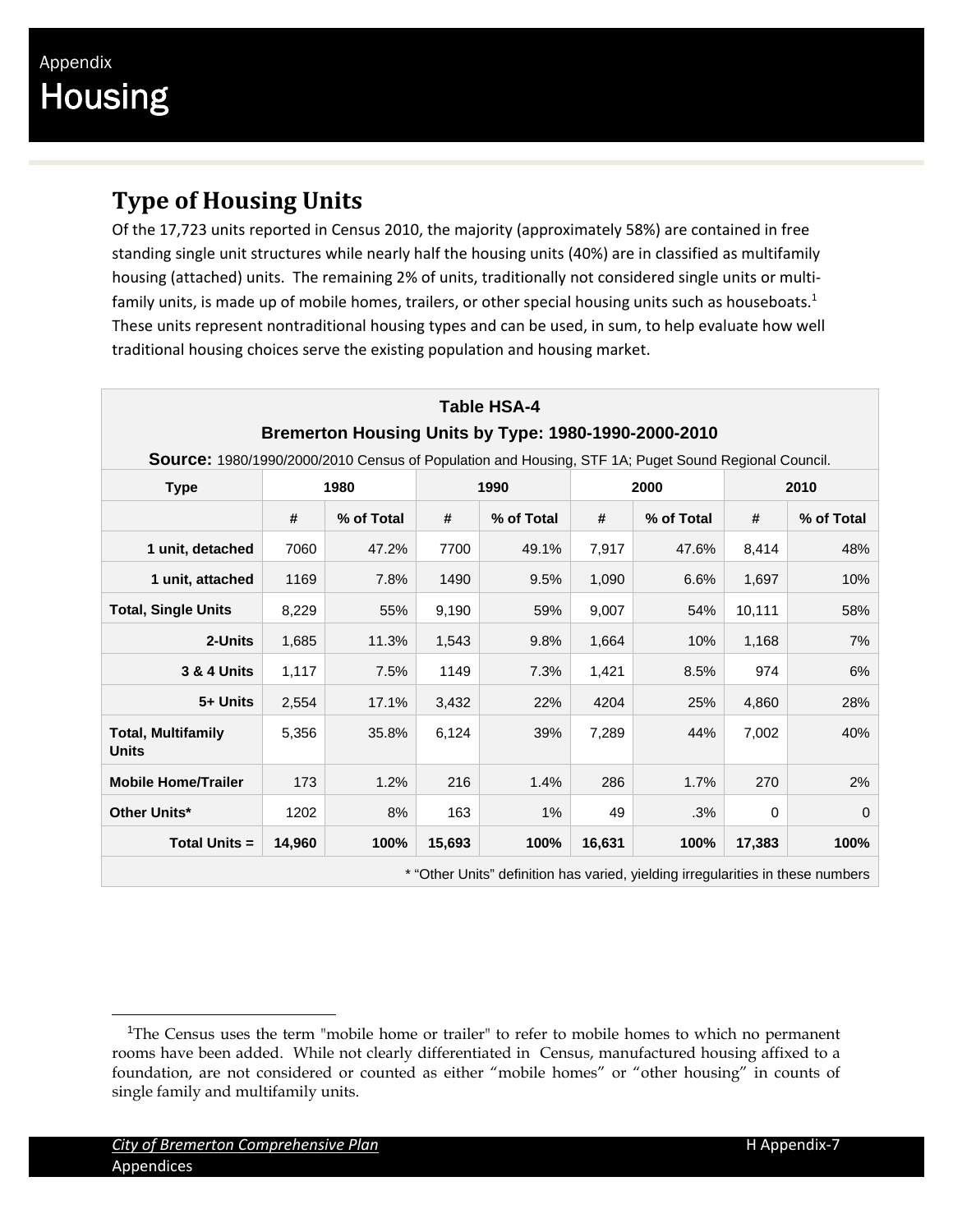### **Type of Housing Units**

Of the 17,723 units reported in Census 2010, the majority (approximately 58%) are contained in free standing single unit structures while nearly half the housing units (40%) are in classified as multifamily housing (attached) units. The remaining 2% of units, traditionally not considered single units or multifamily units, is made up of mobile homes, trailers, or other special housing units such as houseboats.<sup>1</sup> These units represent nontraditional housing types and can be used, in sum, to help evaluate how well traditional housing choices serve the existing population and housing market.

| Table HSA-4                                                                                         |        |            |        |                                                                                 |        |            |          |            |  |  |  |
|-----------------------------------------------------------------------------------------------------|--------|------------|--------|---------------------------------------------------------------------------------|--------|------------|----------|------------|--|--|--|
| Bremerton Housing Units by Type: 1980-1990-2000-2010                                                |        |            |        |                                                                                 |        |            |          |            |  |  |  |
| Source: 1980/1990/2000/2010 Census of Population and Housing, STF 1A; Puget Sound Regional Council. |        |            |        |                                                                                 |        |            |          |            |  |  |  |
| <b>Type</b>                                                                                         |        | 1980       |        | 1990                                                                            |        | 2000       |          | 2010       |  |  |  |
|                                                                                                     | #      | % of Total | #      | % of Total                                                                      | #      | % of Total | #        | % of Total |  |  |  |
| 1 unit, detached                                                                                    | 7060   | 47.2%      | 7700   | 49.1%                                                                           | 7,917  | 47.6%      | 8,414    | 48%        |  |  |  |
| 1 unit, attached                                                                                    | 1169   | 7.8%       | 1490   | 9.5%                                                                            | 1,090  | 6.6%       | 1,697    | 10%        |  |  |  |
| <b>Total, Single Units</b>                                                                          | 8,229  | 55%        | 9,190  | 59%                                                                             | 9,007  | 54%        | 10,111   | 58%        |  |  |  |
| 2-Units                                                                                             | 1,685  | 11.3%      | 1,543  | 9.8%                                                                            | 1,664  | 10%        | 1,168    | 7%         |  |  |  |
| <b>3 &amp; 4 Units</b>                                                                              | 1,117  | 7.5%       | 1149   | 7.3%                                                                            | 1,421  | 8.5%       | 974      | 6%         |  |  |  |
| 5+ Units                                                                                            | 2,554  | 17.1%      | 3,432  | 22%                                                                             | 4204   | 25%        | 4,860    | 28%        |  |  |  |
| <b>Total, Multifamily</b><br><b>Units</b>                                                           | 5,356  | 35.8%      | 6,124  | 39%                                                                             | 7,289  | 44%        | 7,002    | 40%        |  |  |  |
| <b>Mobile Home/Trailer</b>                                                                          | 173    | 1.2%       | 216    | 1.4%                                                                            | 286    | 1.7%       | 270      | 2%         |  |  |  |
| <b>Other Units*</b>                                                                                 | 1202   | 8%         | 163    | $1\%$                                                                           | 49     | .3%        | $\Omega$ | $\Omega$   |  |  |  |
| <b>Total Units =</b>                                                                                | 14,960 | 100%       | 15,693 | 100%                                                                            | 16,631 | 100%       | 17,383   | 100%       |  |  |  |
|                                                                                                     |        |            |        | * "Other Units" definition has varied, yielding irregularities in these numbers |        |            |          |            |  |  |  |

<sup>&</sup>lt;sup>1</sup>The Census uses the term "mobile home or trailer" to refer to mobile homes to which no permanent rooms have been added. While not clearly differentiated in Census, manufactured housing affixed to a foundation, are not considered or counted as either "mobile homes" or "other housing" in counts of single family and multifamily units.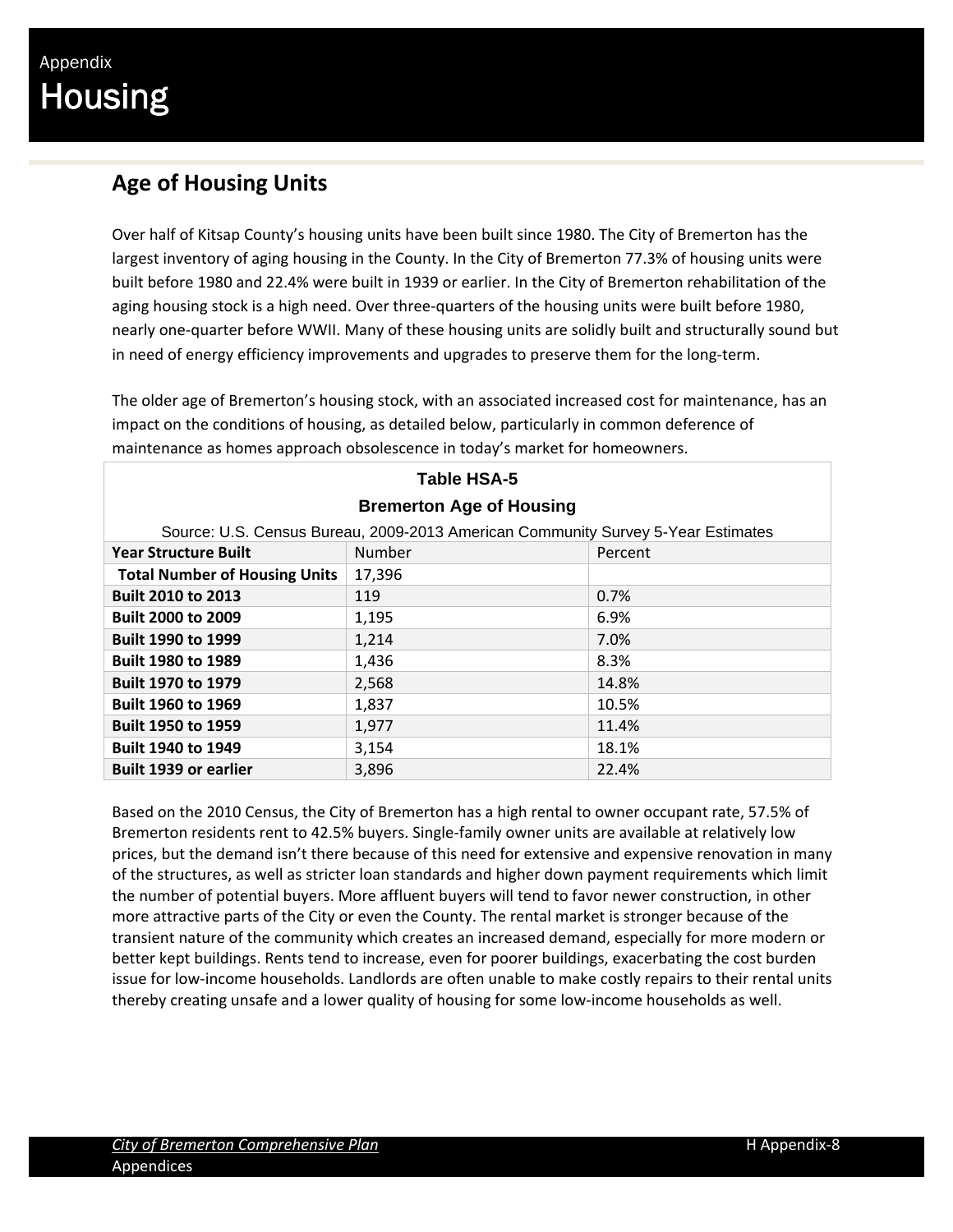### **Age of Housing Units**

Over half of Kitsap County's housing units have been built since 1980. The City of Bremerton has the largest inventory of aging housing in the County. In the City of Bremerton 77.3% of housing units were built before 1980 and 22.4% were built in 1939 or earlier. In the City of Bremerton rehabilitation of the aging housing stock is a high need. Over three-quarters of the housing units were built before 1980, nearly one‐quarter before WWII. Many of these housing units are solidly built and structurally sound but in need of energy efficiency improvements and upgrades to preserve them for the long‐term.

The older age of Bremerton's housing stock, with an associated increased cost for maintenance, has an impact on the conditions of housing, as detailed below, particularly in common deference of maintenance as homes approach obsolescence in today's market for homeowners.

| <b>Table HSA-5</b>                               |                                                                                  |       |  |  |  |  |  |
|--------------------------------------------------|----------------------------------------------------------------------------------|-------|--|--|--|--|--|
| <b>Bremerton Age of Housing</b>                  |                                                                                  |       |  |  |  |  |  |
|                                                  | Source: U.S. Census Bureau, 2009-2013 American Community Survey 5-Year Estimates |       |  |  |  |  |  |
| Number<br><b>Year Structure Built</b><br>Percent |                                                                                  |       |  |  |  |  |  |
| <b>Total Number of Housing Units</b>             | 17,396                                                                           |       |  |  |  |  |  |
| <b>Built 2010 to 2013</b>                        | 119                                                                              | 0.7%  |  |  |  |  |  |
| <b>Built 2000 to 2009</b>                        | 1,195                                                                            | 6.9%  |  |  |  |  |  |
| <b>Built 1990 to 1999</b>                        | 1,214                                                                            | 7.0%  |  |  |  |  |  |
| <b>Built 1980 to 1989</b>                        | 1,436                                                                            | 8.3%  |  |  |  |  |  |
| <b>Built 1970 to 1979</b>                        | 2,568                                                                            | 14.8% |  |  |  |  |  |
| <b>Built 1960 to 1969</b>                        | 1,837                                                                            | 10.5% |  |  |  |  |  |
| <b>Built 1950 to 1959</b>                        | 1,977                                                                            | 11.4% |  |  |  |  |  |
| <b>Built 1940 to 1949</b>                        | 3,154                                                                            | 18.1% |  |  |  |  |  |
| <b>Built 1939 or earlier</b>                     | 3,896                                                                            | 22.4% |  |  |  |  |  |

### Based on the 2010 Census, the City of Bremerton has a high rental to owner occupant rate, 57.5% of Bremerton residents rent to 42.5% buyers. Single‐family owner units are available at relatively low prices, but the demand isn't there because of this need for extensive and expensive renovation in many of the structures, as well as stricter loan standards and higher down payment requirements which limit the number of potential buyers. More affluent buyers will tend to favor newer construction, in other more attractive parts of the City or even the County. The rental market is stronger because of the transient nature of the community which creates an increased demand, especially for more modern or

better kept buildings. Rents tend to increase, even for poorer buildings, exacerbating the cost burden issue for low‐income households. Landlords are often unable to make costly repairs to their rental units thereby creating unsafe and a lower quality of housing for some low‐income households as well.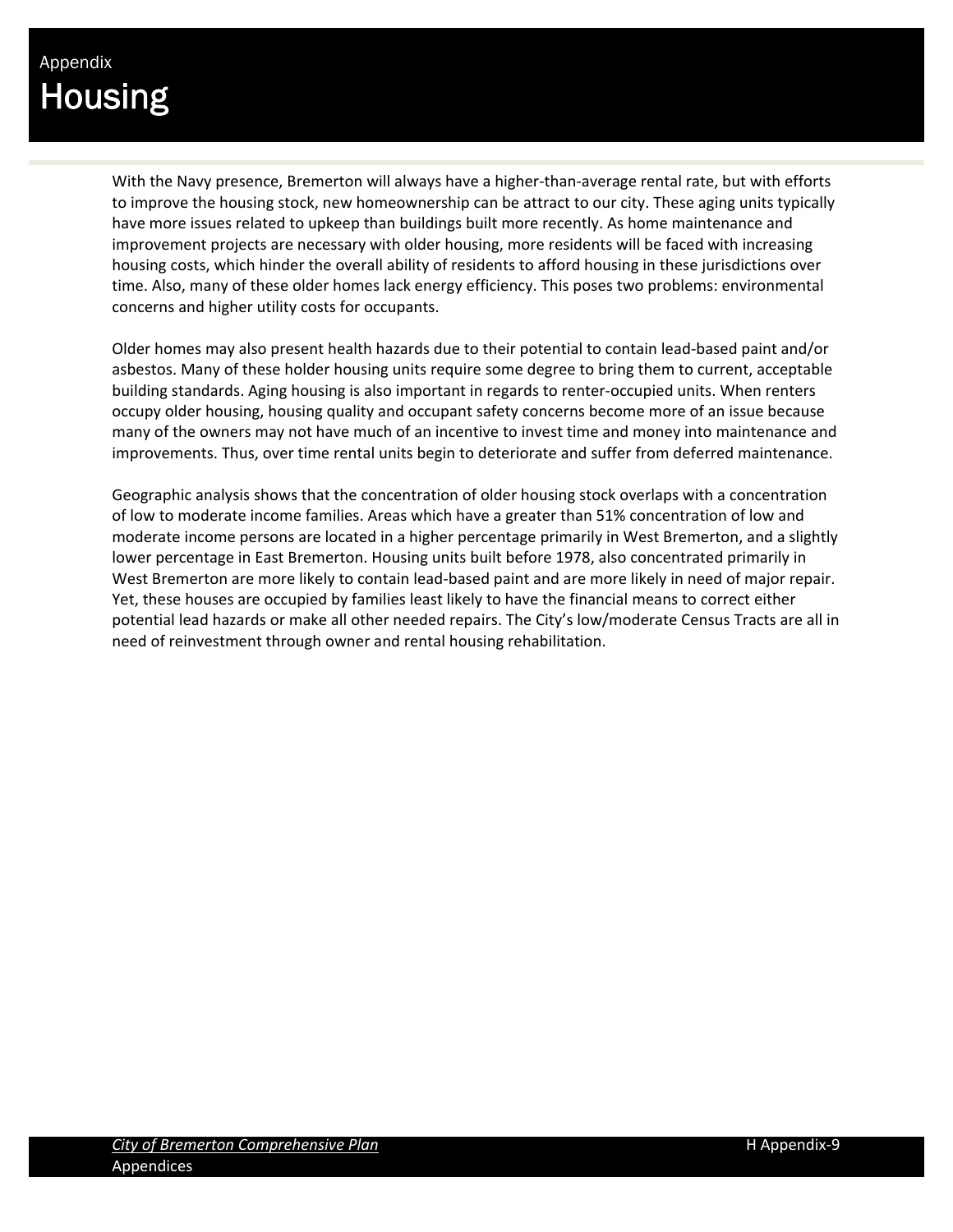With the Navy presence, Bremerton will always have a higher-than-average rental rate, but with efforts to improve the housing stock, new homeownership can be attract to our city. These aging units typically have more issues related to upkeep than buildings built more recently. As home maintenance and improvement projects are necessary with older housing, more residents will be faced with increasing housing costs, which hinder the overall ability of residents to afford housing in these jurisdictions over time. Also, many of these older homes lack energy efficiency. This poses two problems: environmental concerns and higher utility costs for occupants.

Older homes may also present health hazards due to their potential to contain lead‐based paint and/or asbestos. Many of these holder housing units require some degree to bring them to current, acceptable building standards. Aging housing is also important in regards to renter‐occupied units. When renters occupy older housing, housing quality and occupant safety concerns become more of an issue because many of the owners may not have much of an incentive to invest time and money into maintenance and improvements. Thus, over time rental units begin to deteriorate and suffer from deferred maintenance.

Geographic analysis shows that the concentration of older housing stock overlaps with a concentration of low to moderate income families. Areas which have a greater than 51% concentration of low and moderate income persons are located in a higher percentage primarily in West Bremerton, and a slightly lower percentage in East Bremerton. Housing units built before 1978, also concentrated primarily in West Bremerton are more likely to contain lead‐based paint and are more likely in need of major repair. Yet, these houses are occupied by families least likely to have the financial means to correct either potential lead hazards or make all other needed repairs. The City's low/moderate Census Tracts are all in need of reinvestment through owner and rental housing rehabilitation.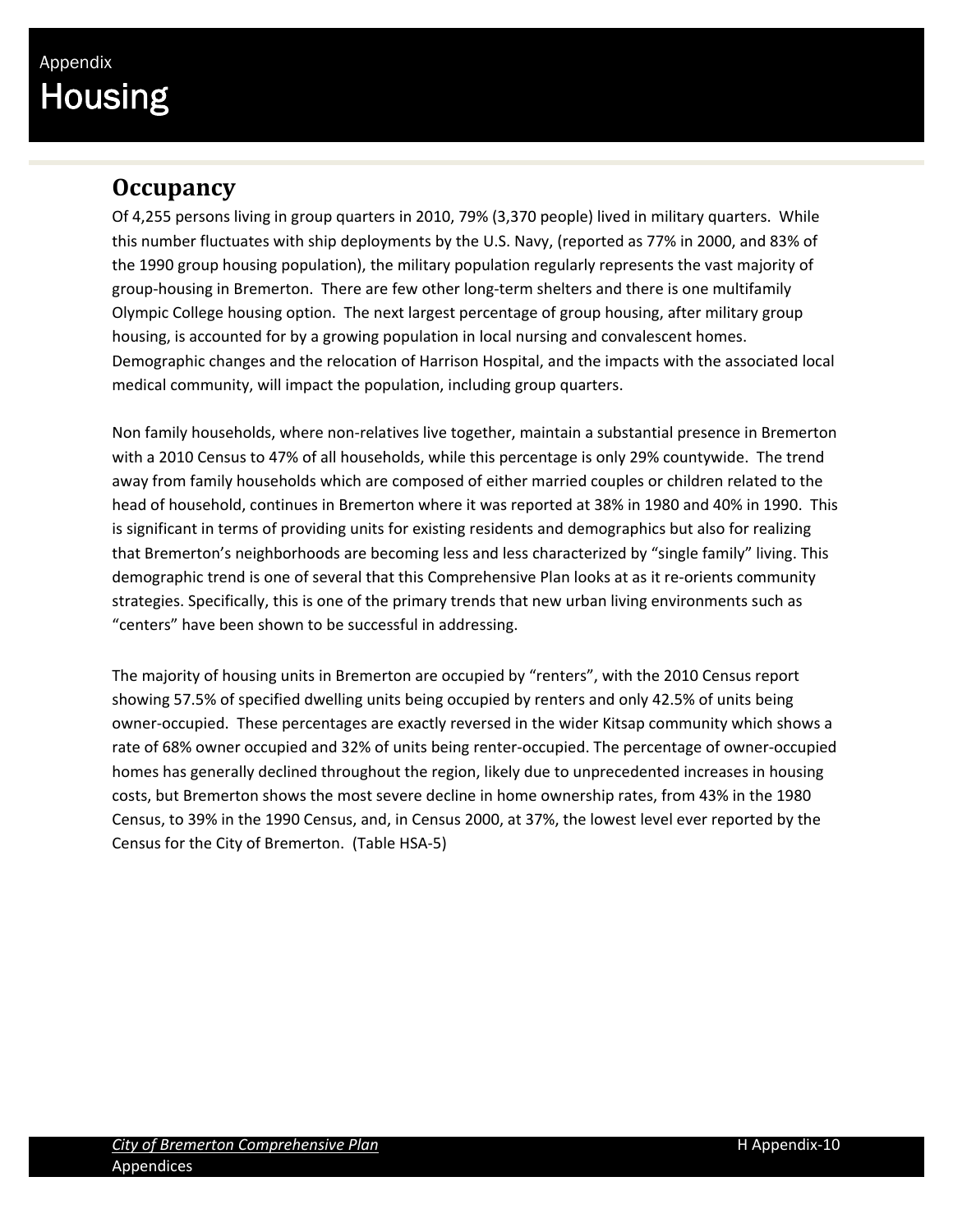### **Occupancy**

Of 4,255 persons living in group quarters in 2010, 79% (3,370 people) lived in military quarters. While this number fluctuates with ship deployments by the U.S. Navy, (reported as 77% in 2000, and 83% of the 1990 group housing population), the military population regularly represents the vast majority of group‐housing in Bremerton. There are few other long‐term shelters and there is one multifamily Olympic College housing option. The next largest percentage of group housing, after military group housing, is accounted for by a growing population in local nursing and convalescent homes. Demographic changes and the relocation of Harrison Hospital, and the impacts with the associated local medical community, will impact the population, including group quarters.

Non family households, where non‐relatives live together, maintain a substantial presence in Bremerton with a 2010 Census to 47% of all households, while this percentage is only 29% countywide. The trend away from family households which are composed of either married couples or children related to the head of household, continues in Bremerton where it was reported at 38% in 1980 and 40% in 1990. This is significant in terms of providing units for existing residents and demographics but also for realizing that Bremerton's neighborhoods are becoming less and less characterized by "single family" living. This demographic trend is one of several that this Comprehensive Plan looks at as it re-orients community strategies. Specifically, this is one of the primary trends that new urban living environments such as "centers" have been shown to be successful in addressing.

The majority of housing units in Bremerton are occupied by "renters", with the 2010 Census report showing 57.5% of specified dwelling units being occupied by renters and only 42.5% of units being owner‐occupied. These percentages are exactly reversed in the wider Kitsap community which shows a rate of 68% owner occupied and 32% of units being renter‐occupied. The percentage of owner‐occupied homes has generally declined throughout the region, likely due to unprecedented increases in housing costs, but Bremerton shows the most severe decline in home ownership rates, from 43% in the 1980 Census, to 39% in the 1990 Census, and, in Census 2000, at 37%, the lowest level ever reported by the Census for the City of Bremerton. (Table HSA‐5)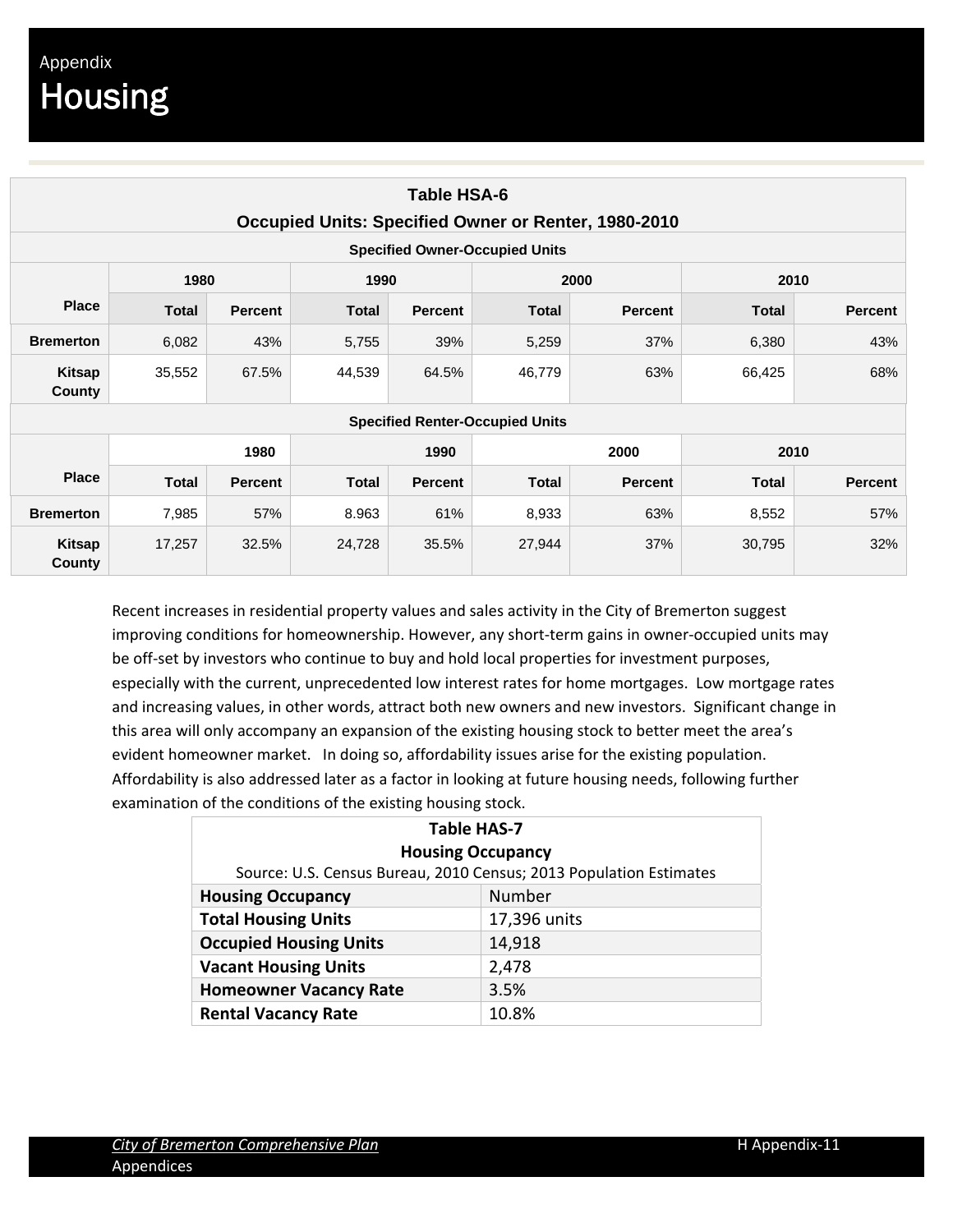| Table HSA-6<br>Occupied Units: Specified Owner or Renter, 1980-2010 |              |                |              |                |                                        |                |              |                |  |  |
|---------------------------------------------------------------------|--------------|----------------|--------------|----------------|----------------------------------------|----------------|--------------|----------------|--|--|
| <b>Specified Owner-Occupied Units</b>                               |              |                |              |                |                                        |                |              |                |  |  |
|                                                                     | 1980         |                | 1990         |                |                                        | 2000           |              | 2010           |  |  |
| <b>Place</b>                                                        | <b>Total</b> | <b>Percent</b> | <b>Total</b> | <b>Percent</b> | <b>Total</b>                           | <b>Percent</b> | <b>Total</b> | <b>Percent</b> |  |  |
| <b>Bremerton</b>                                                    | 6,082        | 43%            | 5,755        | 39%            | 5,259                                  | 37%            | 6,380        | 43%            |  |  |
| Kitsap<br>County                                                    | 35,552       | 67.5%          | 44,539       | 64.5%          | 46,779                                 | 63%            | 66,425       | 68%            |  |  |
|                                                                     |              |                |              |                | <b>Specified Renter-Occupied Units</b> |                |              |                |  |  |
|                                                                     |              | 1980           |              | 1990           | 2000                                   |                |              | 2010           |  |  |
| <b>Place</b>                                                        | <b>Total</b> | <b>Percent</b> | <b>Total</b> | <b>Percent</b> | <b>Total</b>                           | <b>Percent</b> | <b>Total</b> | <b>Percent</b> |  |  |
| <b>Bremerton</b>                                                    | 7,985        | 57%            | 8.963        | 61%            | 8,933                                  | 63%            | 8,552        | 57%            |  |  |
| Kitsap<br>County                                                    | 17,257       | 32.5%          | 24,728       | 35.5%          | 27,944                                 | 37%            | 30,795       | 32%            |  |  |

Recent increases in residential property values and sales activity in the City of Bremerton suggest improving conditions for homeownership. However, any short-term gains in owner-occupied units may be off-set by investors who continue to buy and hold local properties for investment purposes, especially with the current, unprecedented low interest rates for home mortgages. Low mortgage rates and increasing values, in other words, attract both new owners and new investors. Significant change in this area will only accompany an expansion of the existing housing stock to better meet the area's evident homeowner market. In doing so, affordability issues arise for the existing population. Affordability is also addressed later as a factor in looking at future housing needs, following further examination of the conditions of the existing housing stock.

| <b>Table HAS-7</b>                                                 |        |  |  |  |  |  |
|--------------------------------------------------------------------|--------|--|--|--|--|--|
| <b>Housing Occupancy</b>                                           |        |  |  |  |  |  |
| Source: U.S. Census Bureau, 2010 Census; 2013 Population Estimates |        |  |  |  |  |  |
| Number<br><b>Housing Occupancy</b>                                 |        |  |  |  |  |  |
| <b>Total Housing Units</b><br>17,396 units                         |        |  |  |  |  |  |
| <b>Occupied Housing Units</b>                                      | 14,918 |  |  |  |  |  |
| <b>Vacant Housing Units</b>                                        | 2,478  |  |  |  |  |  |
| <b>Homeowner Vacancy Rate</b><br>3.5%                              |        |  |  |  |  |  |
| <b>Rental Vacancy Rate</b>                                         | 10.8%  |  |  |  |  |  |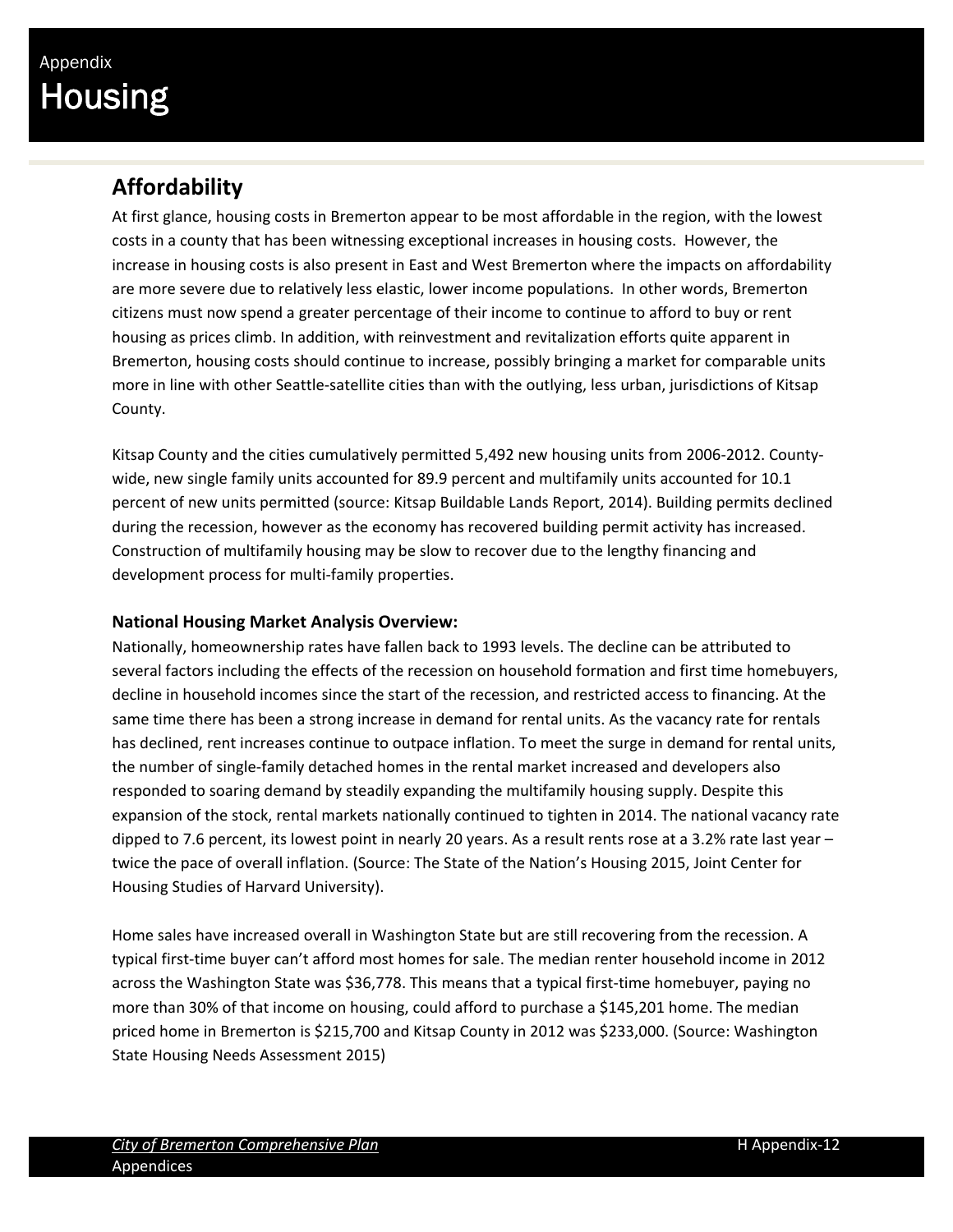### **Affordability**

At first glance, housing costs in Bremerton appear to be most affordable in the region, with the lowest costs in a county that has been witnessing exceptional increases in housing costs. However, the increase in housing costs is also present in East and West Bremerton where the impacts on affordability are more severe due to relatively less elastic, lower income populations. In other words, Bremerton citizens must now spend a greater percentage of their income to continue to afford to buy or rent housing as prices climb. In addition, with reinvestment and revitalization efforts quite apparent in Bremerton, housing costs should continue to increase, possibly bringing a market for comparable units more in line with other Seattle-satellite cities than with the outlying, less urban, jurisdictions of Kitsap County.

Kitsap County and the cities cumulatively permitted 5,492 new housing units from 2006‐2012. County‐ wide, new single family units accounted for 89.9 percent and multifamily units accounted for 10.1 percent of new units permitted (source: Kitsap Buildable Lands Report, 2014). Building permits declined during the recession, however as the economy has recovered building permit activity has increased. Construction of multifamily housing may be slow to recover due to the lengthy financing and development process for multi‐family properties.

#### **National Housing Market Analysis Overview:**

Nationally, homeownership rates have fallen back to 1993 levels. The decline can be attributed to several factors including the effects of the recession on household formation and first time homebuyers, decline in household incomes since the start of the recession, and restricted access to financing. At the same time there has been a strong increase in demand for rental units. As the vacancy rate for rentals has declined, rent increases continue to outpace inflation. To meet the surge in demand for rental units, the number of single‐family detached homes in the rental market increased and developers also responded to soaring demand by steadily expanding the multifamily housing supply. Despite this expansion of the stock, rental markets nationally continued to tighten in 2014. The national vacancy rate dipped to 7.6 percent, its lowest point in nearly 20 years. As a result rents rose at a 3.2% rate last year – twice the pace of overall inflation. (Source: The State of the Nation's Housing 2015, Joint Center for Housing Studies of Harvard University).

Home sales have increased overall in Washington State but are still recovering from the recession. A typical first‐time buyer can't afford most homes for sale. The median renter household income in 2012 across the Washington State was \$36,778. This means that a typical first-time homebuyer, paying no more than 30% of that income on housing, could afford to purchase a \$145,201 home. The median priced home in Bremerton is \$215,700 and Kitsap County in 2012 was \$233,000. (Source: Washington State Housing Needs Assessment 2015)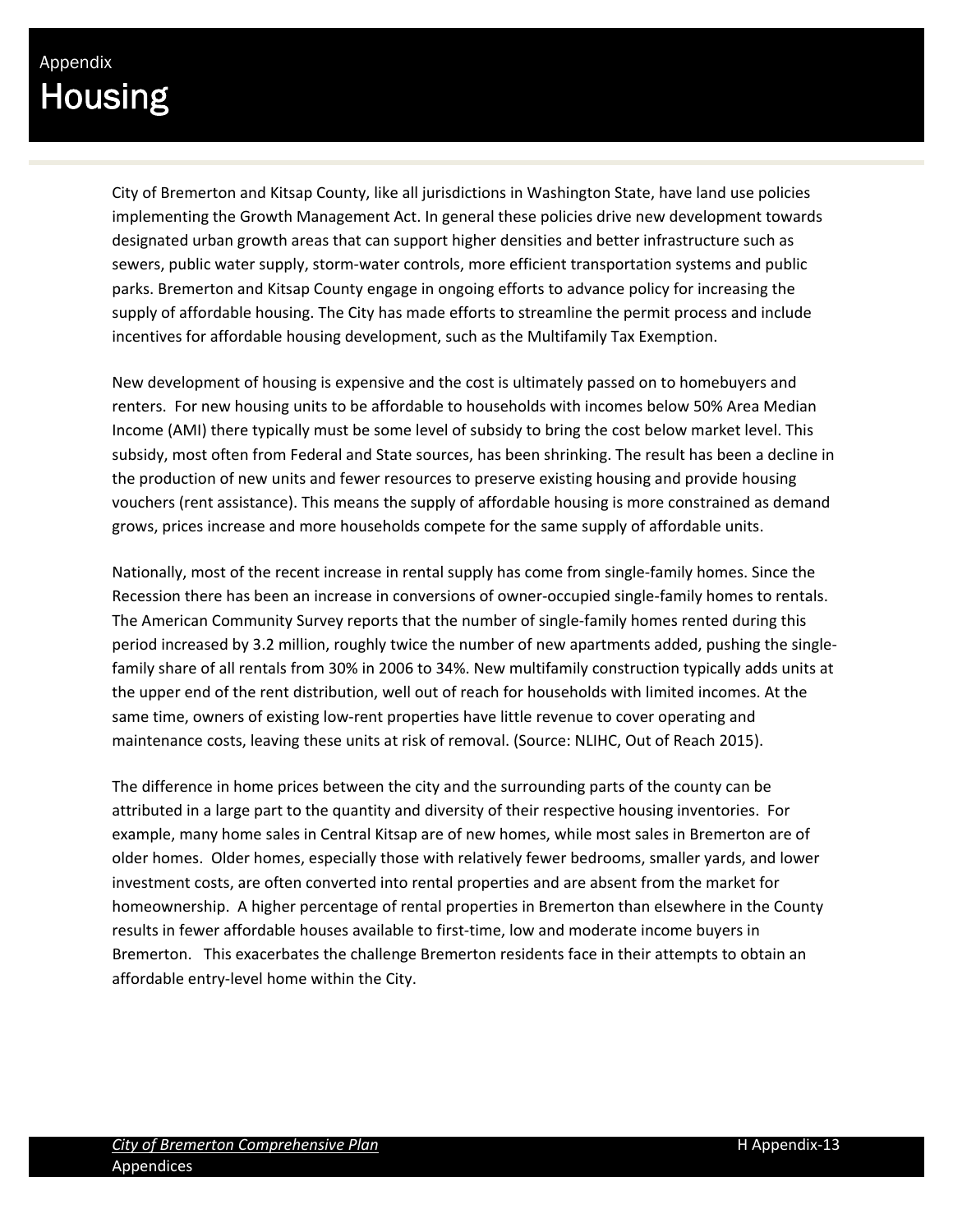City of Bremerton and Kitsap County, like all jurisdictions in Washington State, have land use policies implementing the Growth Management Act. In general these policies drive new development towards designated urban growth areas that can support higher densities and better infrastructure such as sewers, public water supply, storm-water controls, more efficient transportation systems and public parks. Bremerton and Kitsap County engage in ongoing efforts to advance policy for increasing the supply of affordable housing. The City has made efforts to streamline the permit process and include incentives for affordable housing development, such as the Multifamily Tax Exemption.

New development of housing is expensive and the cost is ultimately passed on to homebuyers and renters. For new housing units to be affordable to households with incomes below 50% Area Median Income (AMI) there typically must be some level of subsidy to bring the cost below market level. This subsidy, most often from Federal and State sources, has been shrinking. The result has been a decline in the production of new units and fewer resources to preserve existing housing and provide housing vouchers (rent assistance). This means the supply of affordable housing is more constrained as demand grows, prices increase and more households compete for the same supply of affordable units.

Nationally, most of the recent increase in rental supply has come from single-family homes. Since the Recession there has been an increase in conversions of owner-occupied single-family homes to rentals. The American Community Survey reports that the number of single-family homes rented during this period increased by 3.2 million, roughly twice the number of new apartments added, pushing the single‐ family share of all rentals from 30% in 2006 to 34%. New multifamily construction typically adds units at the upper end of the rent distribution, well out of reach for households with limited incomes. At the same time, owners of existing low-rent properties have little revenue to cover operating and maintenance costs, leaving these units at risk of removal. (Source: NLIHC, Out of Reach 2015).

The difference in home prices between the city and the surrounding parts of the county can be attributed in a large part to the quantity and diversity of their respective housing inventories. For example, many home sales in Central Kitsap are of new homes, while most sales in Bremerton are of older homes. Older homes, especially those with relatively fewer bedrooms, smaller yards, and lower investment costs, are often converted into rental properties and are absent from the market for homeownership. A higher percentage of rental properties in Bremerton than elsewhere in the County results in fewer affordable houses available to first‐time, low and moderate income buyers in Bremerton. This exacerbates the challenge Bremerton residents face in their attempts to obtain an affordable entry‐level home within the City.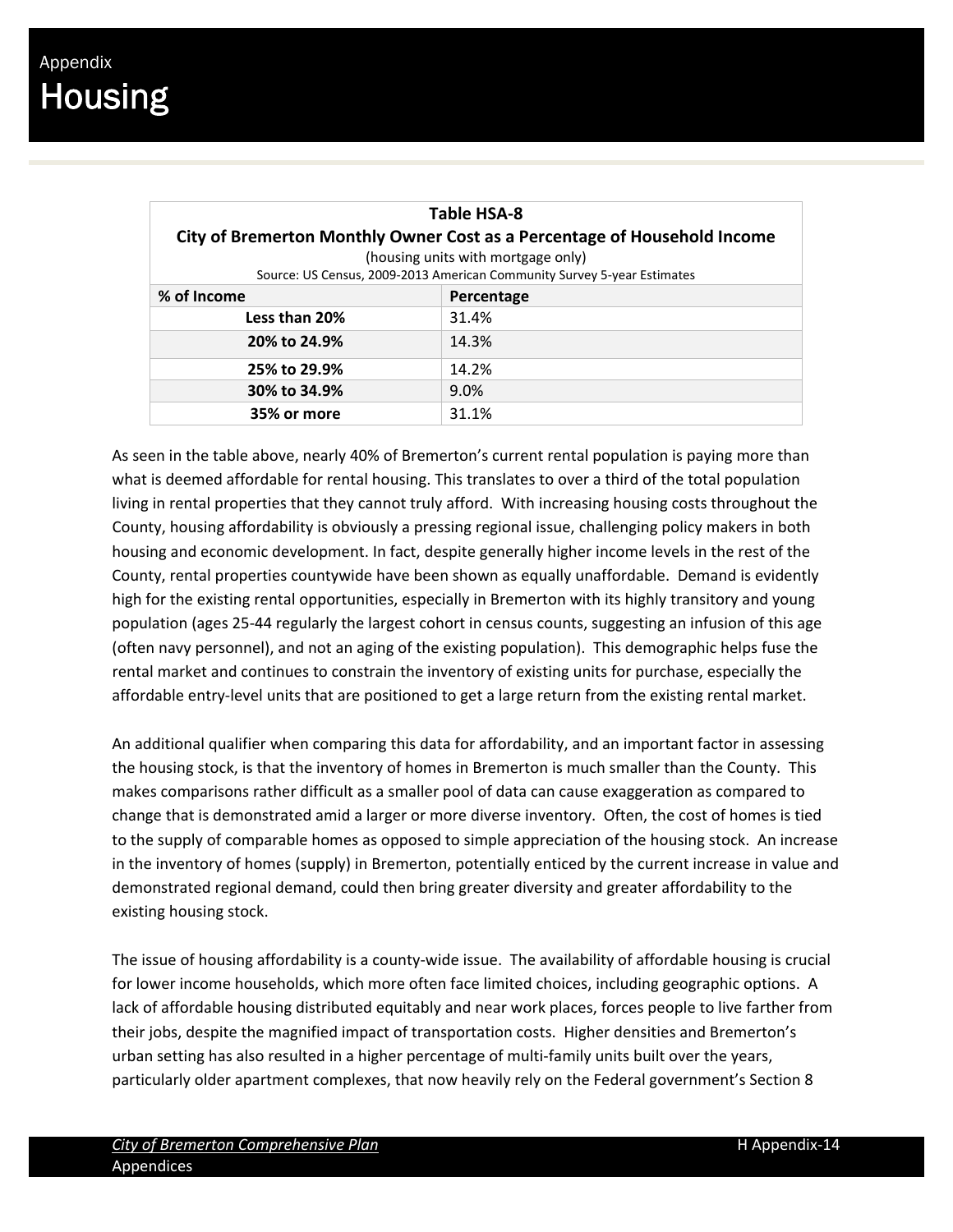| <b>Table HSA-8</b>                                                       |                                                                         |  |  |  |  |  |
|--------------------------------------------------------------------------|-------------------------------------------------------------------------|--|--|--|--|--|
| City of Bremerton Monthly Owner Cost as a Percentage of Household Income |                                                                         |  |  |  |  |  |
|                                                                          | (housing units with mortgage only)                                      |  |  |  |  |  |
|                                                                          | Source: US Census, 2009-2013 American Community Survey 5-year Estimates |  |  |  |  |  |
| % of Income<br>Percentage                                                |                                                                         |  |  |  |  |  |
| Less than 20%                                                            | 31.4%                                                                   |  |  |  |  |  |
| 20% to 24.9%                                                             | 14.3%                                                                   |  |  |  |  |  |
| 25% to 29.9%                                                             | 14.2%                                                                   |  |  |  |  |  |
| 30% to 34.9%                                                             | 9.0%                                                                    |  |  |  |  |  |
| 35% or more                                                              | 31.1%                                                                   |  |  |  |  |  |

As seen in the table above, nearly 40% of Bremerton's current rental population is paying more than what is deemed affordable for rental housing. This translates to over a third of the total population living in rental properties that they cannot truly afford. With increasing housing costs throughout the County, housing affordability is obviously a pressing regional issue, challenging policy makers in both housing and economic development. In fact, despite generally higher income levels in the rest of the County, rental properties countywide have been shown as equally unaffordable. Demand is evidently high for the existing rental opportunities, especially in Bremerton with its highly transitory and young population (ages 25‐44 regularly the largest cohort in census counts, suggesting an infusion of this age (often navy personnel), and not an aging of the existing population). This demographic helps fuse the rental market and continues to constrain the inventory of existing units for purchase, especially the affordable entry‐level units that are positioned to get a large return from the existing rental market.

An additional qualifier when comparing this data for affordability, and an important factor in assessing the housing stock, is that the inventory of homes in Bremerton is much smaller than the County. This makes comparisons rather difficult as a smaller pool of data can cause exaggeration as compared to change that is demonstrated amid a larger or more diverse inventory. Often, the cost of homes is tied to the supply of comparable homes as opposed to simple appreciation of the housing stock. An increase in the inventory of homes (supply) in Bremerton, potentially enticed by the current increase in value and demonstrated regional demand, could then bring greater diversity and greater affordability to the existing housing stock.

The issue of housing affordability is a county‐wide issue. The availability of affordable housing is crucial for lower income households, which more often face limited choices, including geographic options. A lack of affordable housing distributed equitably and near work places, forces people to live farther from their jobs, despite the magnified impact of transportation costs. Higher densities and Bremerton's urban setting has also resulted in a higher percentage of multi‐family units built over the years, particularly older apartment complexes, that now heavily rely on the Federal government's Section 8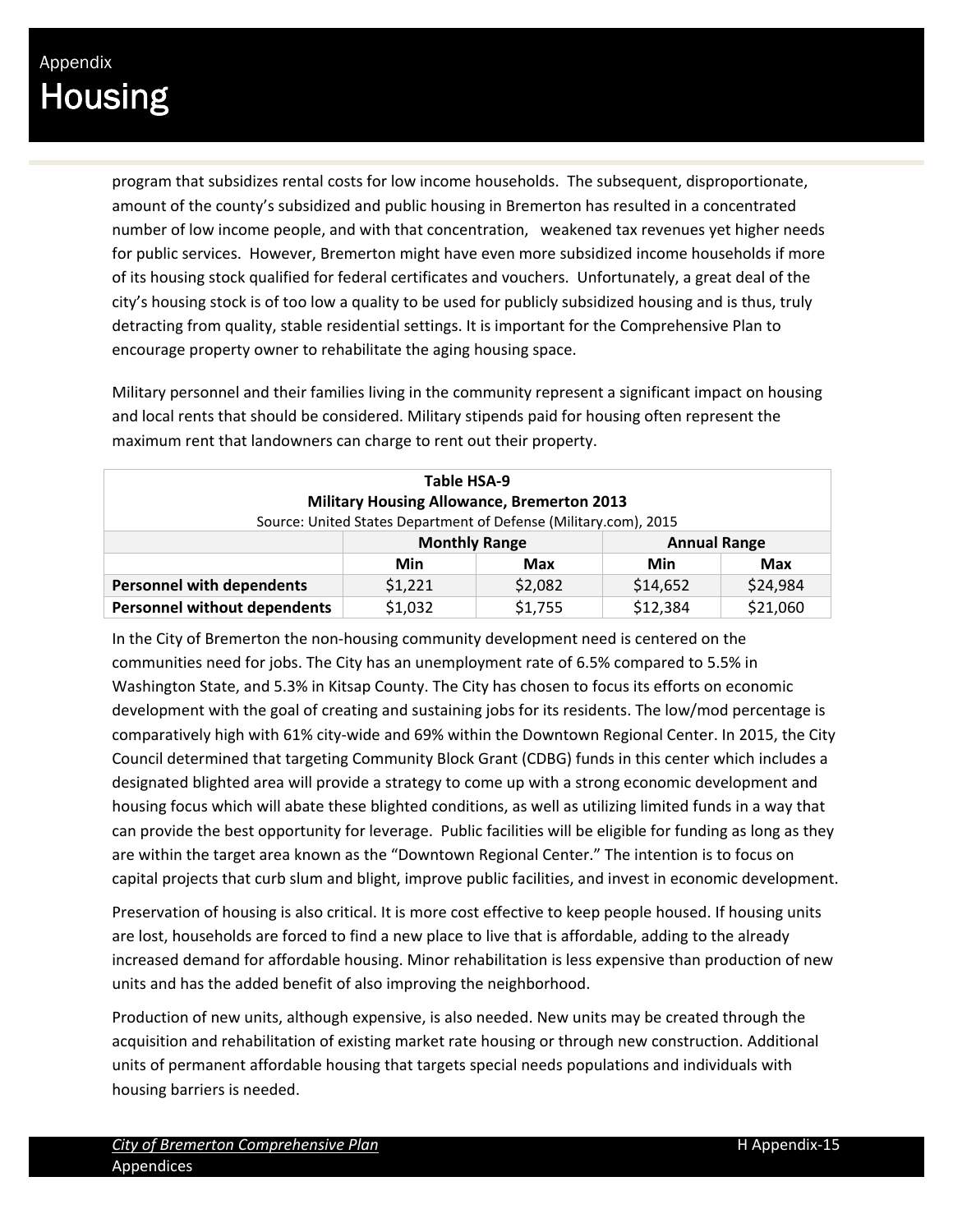program that subsidizes rental costs for low income households. The subsequent, disproportionate, amount of the county's subsidized and public housing in Bremerton has resulted in a concentrated number of low income people, and with that concentration, weakened tax revenues yet higher needs for public services. However, Bremerton might have even more subsidized income households if more of its housing stock qualified for federal certificates and vouchers. Unfortunately, a great deal of the city's housing stock is of too low a quality to be used for publicly subsidized housing and is thus, truly detracting from quality, stable residential settings. It is important for the Comprehensive Plan to encourage property owner to rehabilitate the aging housing space.

Military personnel and their families living in the community represent a significant impact on housing and local rents that should be considered. Military stipends paid for housing often represent the maximum rent that landowners can charge to rent out their property.

| Table HSA-9                                       |                                                                  |                          |          |          |  |  |  |
|---------------------------------------------------|------------------------------------------------------------------|--------------------------|----------|----------|--|--|--|
| <b>Military Housing Allowance, Bremerton 2013</b> |                                                                  |                          |          |          |  |  |  |
|                                                   | Source: United States Department of Defense (Military.com), 2015 |                          |          |          |  |  |  |
|                                                   | <b>Monthly Range</b><br><b>Annual Range</b>                      |                          |          |          |  |  |  |
|                                                   | Min                                                              | Min<br>Max<br><b>Max</b> |          |          |  |  |  |
| <b>Personnel with dependents</b>                  | \$1,221                                                          | \$2,082                  | \$14,652 | \$24,984 |  |  |  |
| <b>Personnel without dependents</b>               | \$21,060<br>\$12,384<br>\$1,032<br>\$1,755                       |                          |          |          |  |  |  |

In the City of Bremerton the non‐housing community development need is centered on the communities need for jobs. The City has an unemployment rate of 6.5% compared to 5.5% in Washington State, and 5.3% in Kitsap County. The City has chosen to focus its efforts on economic development with the goal of creating and sustaining jobs for its residents. The low/mod percentage is comparatively high with 61% city-wide and 69% within the Downtown Regional Center. In 2015, the City Council determined that targeting Community Block Grant (CDBG) funds in this center which includes a designated blighted area will provide a strategy to come up with a strong economic development and housing focus which will abate these blighted conditions, as well as utilizing limited funds in a way that can provide the best opportunity for leverage. Public facilities will be eligible for funding as long as they are within the target area known as the "Downtown Regional Center." The intention is to focus on capital projects that curb slum and blight, improve public facilities, and invest in economic development.

Preservation of housing is also critical. It is more cost effective to keep people housed. If housing units are lost, households are forced to find a new place to live that is affordable, adding to the already increased demand for affordable housing. Minor rehabilitation is less expensive than production of new units and has the added benefit of also improving the neighborhood.

Production of new units, although expensive, is also needed. New units may be created through the acquisition and rehabilitation of existing market rate housing or through new construction. Additional units of permanent affordable housing that targets special needs populations and individuals with housing barriers is needed.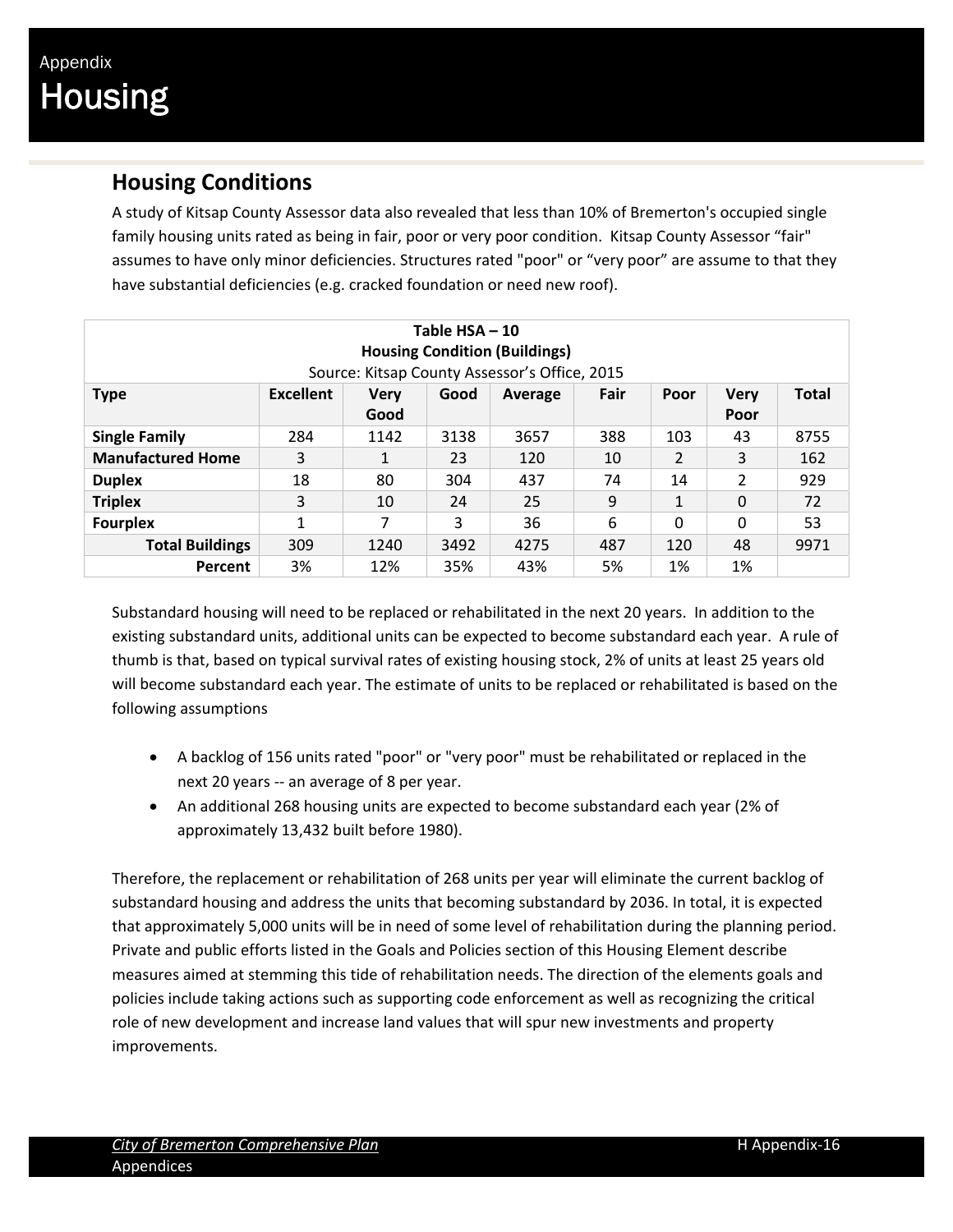#### **Housing Conditions**

A study of Kitsap County Assessor data also revealed that less than 10% of Bremerton's occupied single family housing units rated as being in fair, poor or very poor condition. Kitsap County Assessor "fair" assumes to have only minor deficiencies. Structures rated "poor" or "very poor" are assume to that they have substantial deficiencies (e.g. cracked foundation or need new roof).

| Table $HSA - 10$<br><b>Housing Condition (Buildings)</b><br>Source: Kitsap County Assessor's Office, 2015                        |          |      |      |      |     |     |    |      |  |
|----------------------------------------------------------------------------------------------------------------------------------|----------|------|------|------|-----|-----|----|------|--|
| Fair<br><b>Total</b><br><b>Excellent</b><br><b>Very</b><br>Good<br>Poor<br><b>Verv</b><br><b>Type</b><br>Average<br>Good<br>Poor |          |      |      |      |     |     |    |      |  |
| <b>Single Family</b>                                                                                                             | 284      | 1142 | 3138 | 3657 | 388 | 103 | 43 | 8755 |  |
| <b>Manufactured Home</b>                                                                                                         | 3        | 1    | 23   | 120  | 10  | 2   | 3  | 162  |  |
| <b>Duplex</b>                                                                                                                    | 18       | 80   | 304  | 437  | 74  | 14  | 2  | 929  |  |
| <b>Triplex</b>                                                                                                                   | 3        | 10   | 24   | 25   | 9   | 1   | 0  | 72   |  |
| <b>Fourplex</b>                                                                                                                  | $\Omega$ | 0    | 53   |      |     |     |    |      |  |
| <b>Total Buildings</b>                                                                                                           | 309      | 1240 | 3492 | 4275 | 487 | 120 | 48 | 9971 |  |
| Percent                                                                                                                          | 3%       | 12%  | 35%  | 43%  | 5%  | 1%  | 1% |      |  |

Substandard housing will need to be replaced or rehabilitated in the next 20 years. In addition to the existing substandard units, additional units can be expected to become substandard each year. A rule of thumb is that, based on typical survival rates of existing housing stock, 2% of units at least 25 years old will become substandard each year. The estimate of units to be replaced or rehabilitated is based on the following assumptions

- A backlog of 156 units rated "poor" or "very poor" must be rehabilitated or replaced in the next 20 years -- an average of 8 per year.
- An additional 268 housing units are expected to become substandard each year (2% of approximately 13,432 built before 1980).

Therefore, the replacement or rehabilitation of 268 units per year will eliminate the current backlog of substandard housing and address the units that becoming substandard by 2036. In total, it is expected that approximately 5,000 units will be in need of some level of rehabilitation during the planning period. Private and public efforts listed in the Goals and Policies section of this Housing Element describe measures aimed at stemming this tide of rehabilitation needs. The direction of the elements goals and policies include taking actions such as supporting code enforcement as well as recognizing the critical role of new development and increase land values that will spur new investments and property improvements.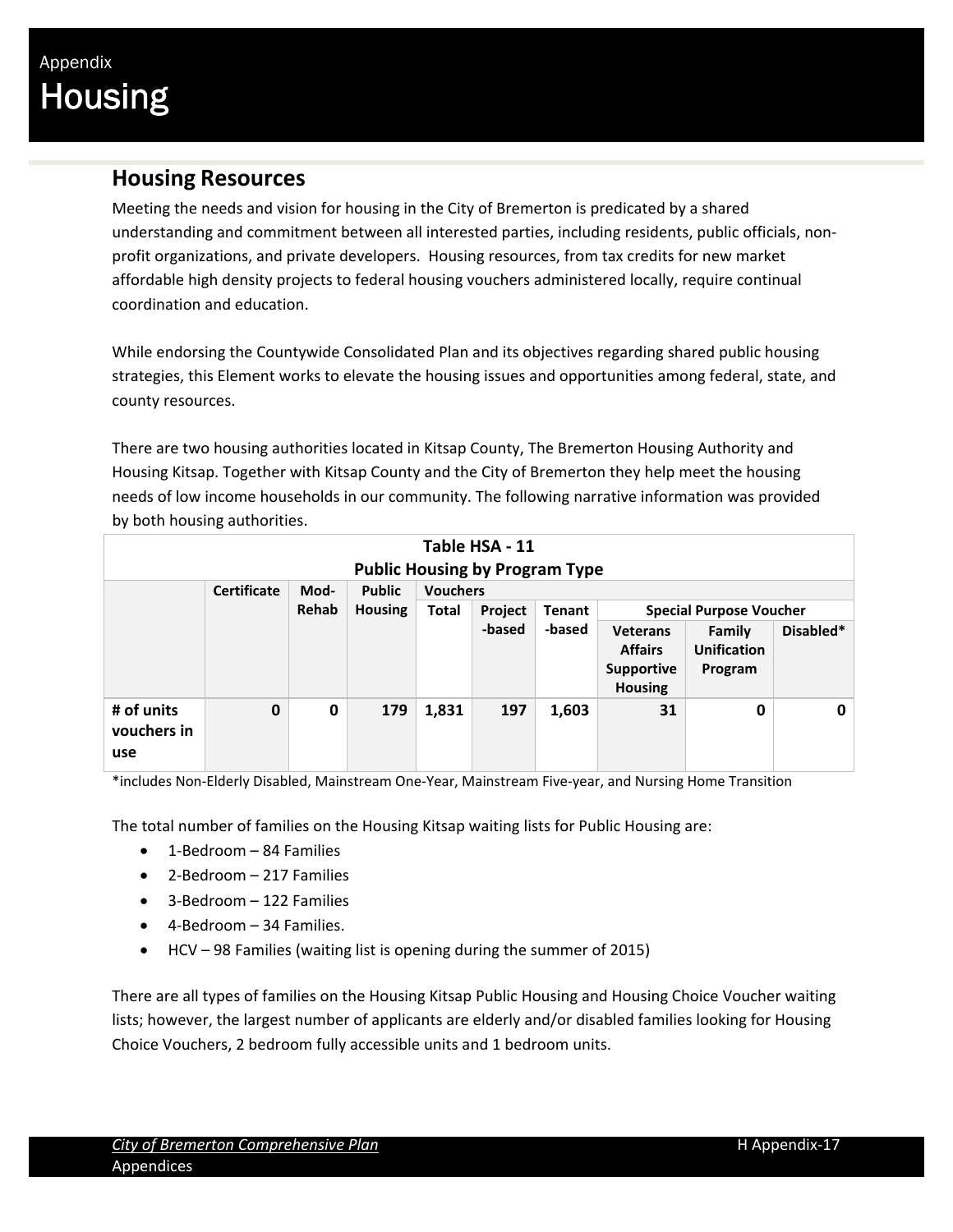#### **Housing Resources**

Meeting the needs and vision for housing in the City of Bremerton is predicated by a shared understanding and commitment between all interested parties, including residents, public officials, non‐ profit organizations, and private developers. Housing resources, from tax credits for new market affordable high density projects to federal housing vouchers administered locally, require continual coordination and education.

While endorsing the Countywide Consolidated Plan and its objectives regarding shared public housing strategies, this Element works to elevate the housing issues and opportunities among federal, state, and county resources.

There are two housing authorities located in Kitsap County, The Bremerton Housing Authority and Housing Kitsap. Together with Kitsap County and the City of Bremerton they help meet the housing needs of low income households in our community. The following narrative information was provided by both housing authorities.

| Table HSA - 11<br><b>Public Housing by Program Type</b>        |             |       |                |       |         |               |                                                                          |                                         |           |  |
|----------------------------------------------------------------|-------------|-------|----------------|-------|---------|---------------|--------------------------------------------------------------------------|-----------------------------------------|-----------|--|
| <b>Certificate</b><br><b>Public</b><br><b>Vouchers</b><br>Mod- |             |       |                |       |         |               |                                                                          |                                         |           |  |
|                                                                |             | Rehab | <b>Housing</b> | Total | Project | <b>Tenant</b> |                                                                          | <b>Special Purpose Voucher</b>          |           |  |
|                                                                |             |       |                |       | -based  | -based        | <b>Veterans</b><br><b>Affairs</b><br><b>Supportive</b><br><b>Housing</b> | Family<br><b>Unification</b><br>Program | Disabled* |  |
| # of units<br>vouchers in<br>use                               | $\mathbf 0$ | 0     | 179            | 1,831 | 197     | 1,603         | 31                                                                       | $\mathbf 0$                             | 0         |  |

\*includes Non‐Elderly Disabled, Mainstream One‐Year, Mainstream Five‐year, and Nursing Home Transition

The total number of families on the Housing Kitsap waiting lists for Public Housing are:

- $\bullet$  1-Bedroom 84 Families
- 2-Bedroom 217 Families
- 3-Bedroom 122 Families
- 4-Bedroom 34 Families.
- HCV 98 Families (waiting list is opening during the summer of 2015)

There are all types of families on the Housing Kitsap Public Housing and Housing Choice Voucher waiting lists; however, the largest number of applicants are elderly and/or disabled families looking for Housing Choice Vouchers, 2 bedroom fully accessible units and 1 bedroom units.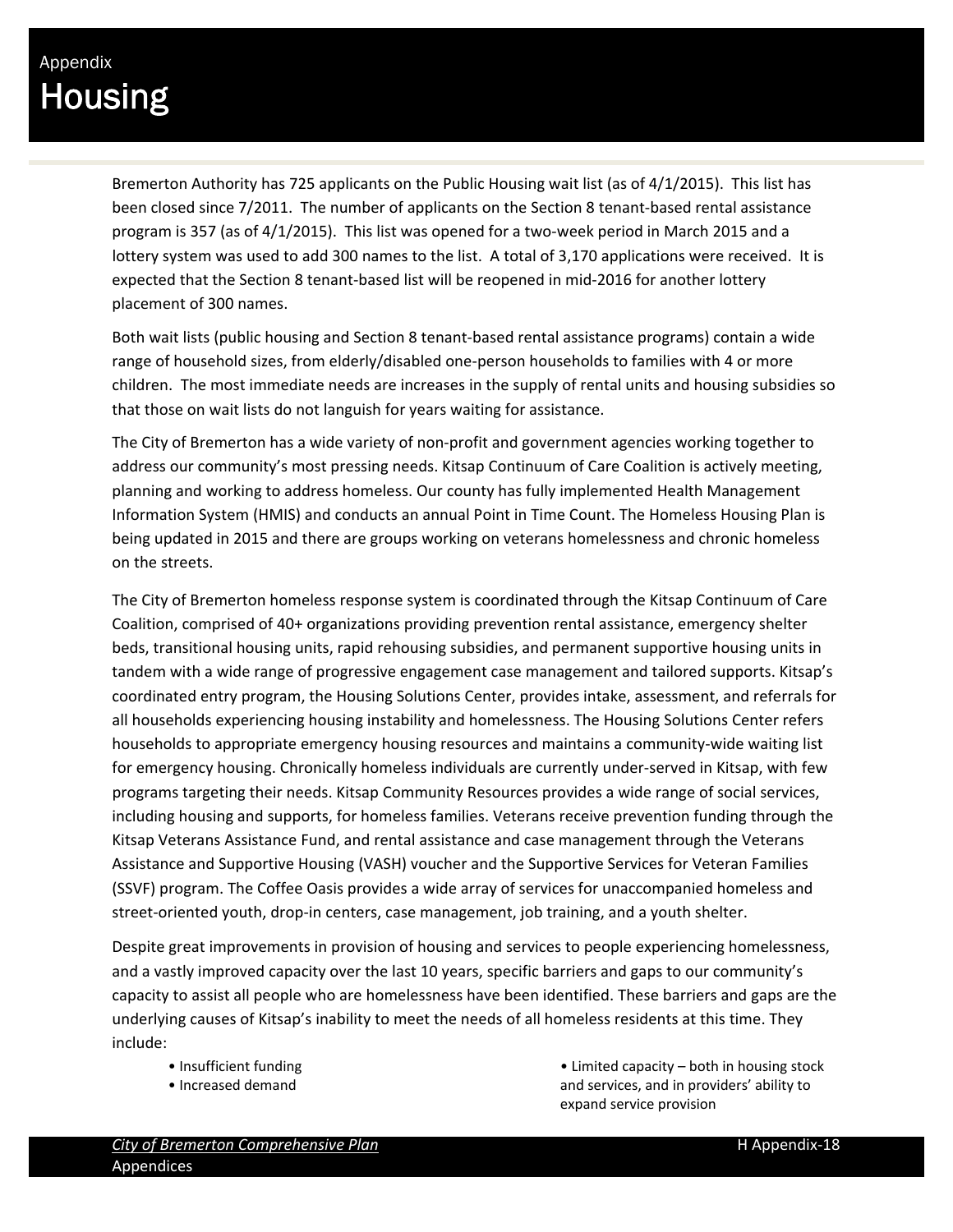Bremerton Authority has 725 applicants on the Public Housing wait list (as of 4/1/2015). This list has been closed since 7/2011. The number of applicants on the Section 8 tenant-based rental assistance program is 357 (as of 4/1/2015). This list was opened for a two-week period in March 2015 and a lottery system was used to add 300 names to the list. A total of 3,170 applications were received. It is expected that the Section 8 tenant-based list will be reopened in mid-2016 for another lottery placement of 300 names.

Both wait lists (public housing and Section 8 tenant‐based rental assistance programs) contain a wide range of household sizes, from elderly/disabled one‐person households to families with 4 or more children. The most immediate needs are increases in the supply of rental units and housing subsidies so that those on wait lists do not languish for years waiting for assistance.

The City of Bremerton has a wide variety of non‐profit and government agencies working together to address our community's most pressing needs. Kitsap Continuum of Care Coalition is actively meeting, planning and working to address homeless. Our county has fully implemented Health Management Information System (HMIS) and conducts an annual Point in Time Count. The Homeless Housing Plan is being updated in 2015 and there are groups working on veterans homelessness and chronic homeless on the streets.

The City of Bremerton homeless response system is coordinated through the Kitsap Continuum of Care Coalition, comprised of 40+ organizations providing prevention rental assistance, emergency shelter beds, transitional housing units, rapid rehousing subsidies, and permanent supportive housing units in tandem with a wide range of progressive engagement case management and tailored supports. Kitsap's coordinated entry program, the Housing Solutions Center, provides intake, assessment, and referrals for all households experiencing housing instability and homelessness. The Housing Solutions Center refers households to appropriate emergency housing resources and maintains a community‐wide waiting list for emergency housing. Chronically homeless individuals are currently under‐served in Kitsap, with few programs targeting their needs. Kitsap Community Resources provides a wide range of social services, including housing and supports, for homeless families. Veterans receive prevention funding through the Kitsap Veterans Assistance Fund, and rental assistance and case management through the Veterans Assistance and Supportive Housing (VASH) voucher and the Supportive Services for Veteran Families (SSVF) program. The Coffee Oasis provides a wide array of services for unaccompanied homeless and street-oriented youth, drop-in centers, case management, job training, and a youth shelter.

Despite great improvements in provision of housing and services to people experiencing homelessness, and a vastly improved capacity over the last 10 years, specific barriers and gaps to our community's capacity to assist all people who are homelessness have been identified. These barriers and gaps are the underlying causes of Kitsap's inability to meet the needs of all homeless residents at this time. They include:

- Insufficient funding
- Increased demand

• Limited capacity – both in housing stock and services, and in providers' ability to expand service provision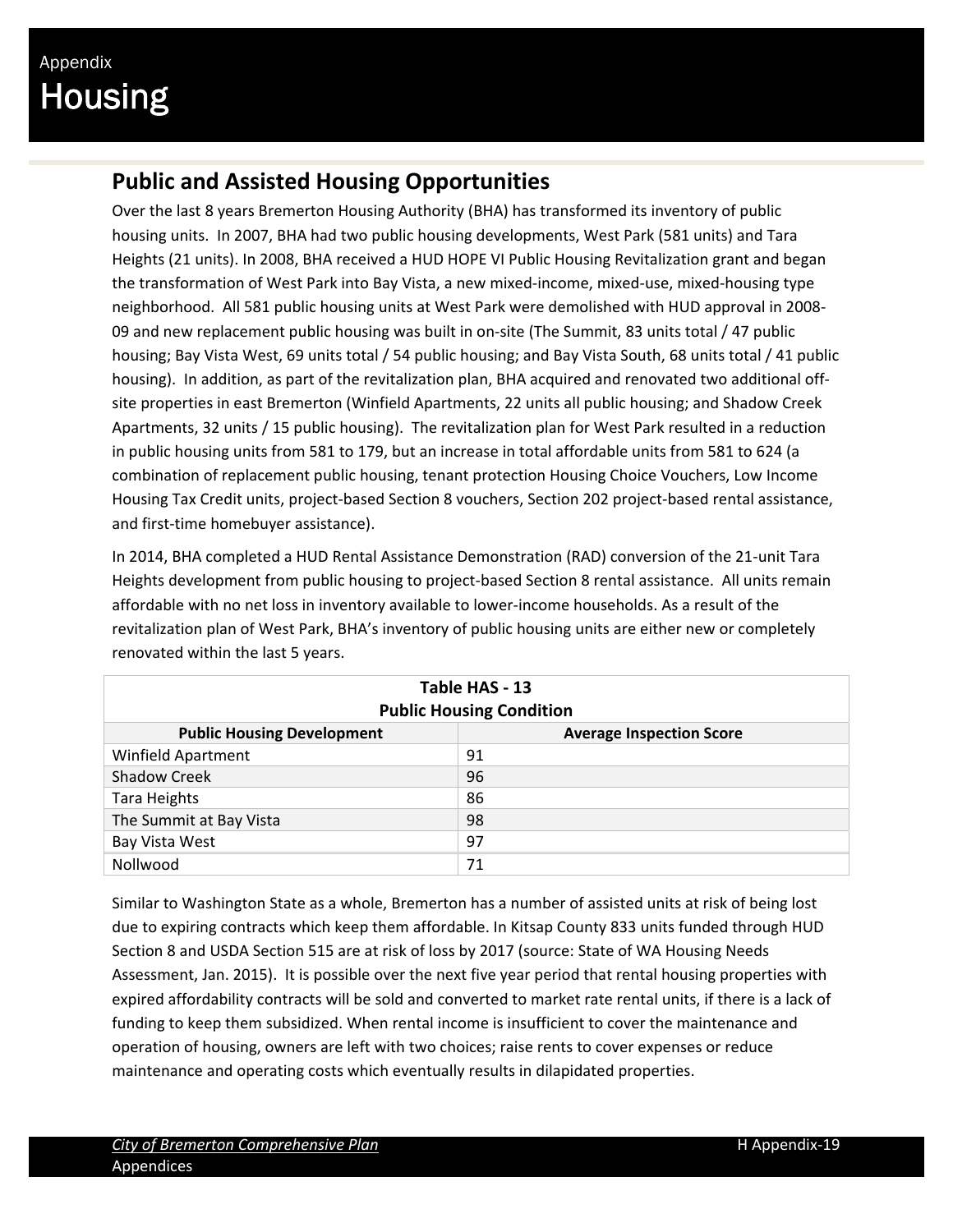### **Public and Assisted Housing Opportunities**

Over the last 8 years Bremerton Housing Authority (BHA) has transformed its inventory of public housing units. In 2007, BHA had two public housing developments, West Park (581 units) and Tara Heights (21 units). In 2008, BHA received a HUD HOPE VI Public Housing Revitalization grant and began the transformation of West Park into Bay Vista, a new mixed‐income, mixed‐use, mixed‐housing type neighborhood. All 581 public housing units at West Park were demolished with HUD approval in 2008‐ 09 and new replacement public housing was built in on-site (The Summit, 83 units total / 47 public housing; Bay Vista West, 69 units total / 54 public housing; and Bay Vista South, 68 units total / 41 public housing). In addition, as part of the revitalization plan, BHA acquired and renovated two additional off‐ site properties in east Bremerton (Winfield Apartments, 22 units all public housing; and Shadow Creek Apartments, 32 units / 15 public housing). The revitalization plan for West Park resulted in a reduction in public housing units from 581 to 179, but an increase in total affordable units from 581 to 624 (a combination of replacement public housing, tenant protection Housing Choice Vouchers, Low Income Housing Tax Credit units, project‐based Section 8 vouchers, Section 202 project‐based rental assistance, and first-time homebuyer assistance).

In 2014, BHA completed a HUD Rental Assistance Demonstration (RAD) conversion of the 21‐unit Tara Heights development from public housing to project-based Section 8 rental assistance. All units remain affordable with no net loss in inventory available to lower‐income households. As a result of the revitalization plan of West Park, BHA's inventory of public housing units are either new or completely renovated within the last 5 years.

| Table HAS - 13<br><b>Public Housing Condition</b> |                                 |  |  |  |  |
|---------------------------------------------------|---------------------------------|--|--|--|--|
| <b>Public Housing Development</b>                 | <b>Average Inspection Score</b> |  |  |  |  |
| <b>Winfield Apartment</b>                         | 91                              |  |  |  |  |
| <b>Shadow Creek</b>                               | 96                              |  |  |  |  |
| Tara Heights                                      | 86                              |  |  |  |  |
| The Summit at Bay Vista                           | 98                              |  |  |  |  |
| Bay Vista West                                    | 97                              |  |  |  |  |
| Nollwood                                          | 71                              |  |  |  |  |

Similar to Washington State as a whole, Bremerton has a number of assisted units at risk of being lost due to expiring contracts which keep them affordable. In Kitsap County 833 units funded through HUD Section 8 and USDA Section 515 are at risk of loss by 2017 (source: State of WA Housing Needs Assessment, Jan. 2015). It is possible over the next five year period that rental housing properties with expired affordability contracts will be sold and converted to market rate rental units, if there is a lack of funding to keep them subsidized. When rental income is insufficient to cover the maintenance and operation of housing, owners are left with two choices; raise rents to cover expenses or reduce maintenance and operating costs which eventually results in dilapidated properties.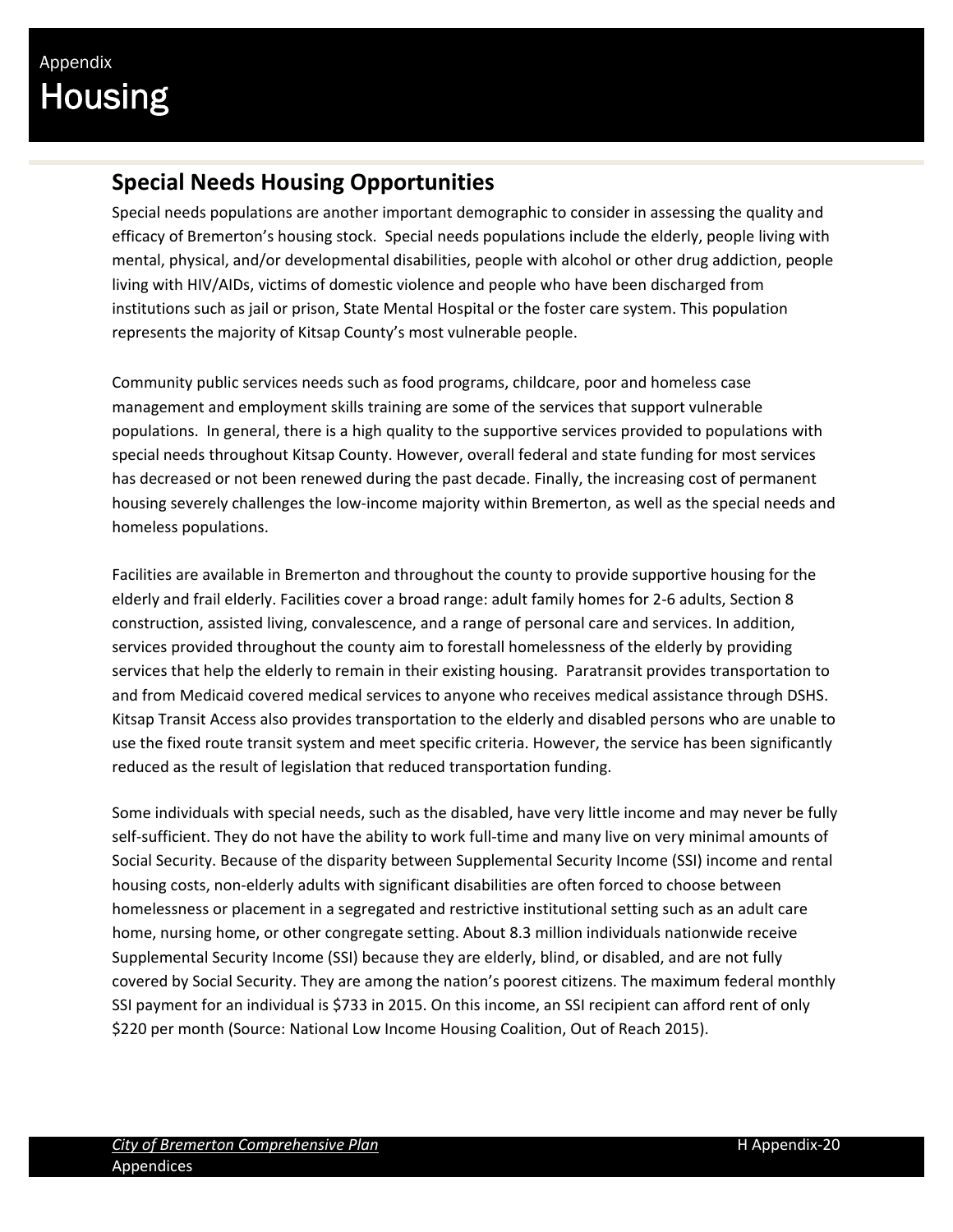### **Special Needs Housing Opportunities**

Special needs populations are another important demographic to consider in assessing the quality and efficacy of Bremerton's housing stock. Special needs populations include the elderly, people living with mental, physical, and/or developmental disabilities, people with alcohol or other drug addiction, people living with HIV/AIDs, victims of domestic violence and people who have been discharged from institutions such as jail or prison, State Mental Hospital or the foster care system. This population represents the majority of Kitsap County's most vulnerable people.

Community public services needs such as food programs, childcare, poor and homeless case management and employment skills training are some of the services that support vulnerable populations. In general, there is a high quality to the supportive services provided to populations with special needs throughout Kitsap County. However, overall federal and state funding for most services has decreased or not been renewed during the past decade. Finally, the increasing cost of permanent housing severely challenges the low‐income majority within Bremerton, as well as the special needs and homeless populations.

Facilities are available in Bremerton and throughout the county to provide supportive housing for the elderly and frail elderly. Facilities cover a broad range: adult family homes for 2‐6 adults, Section 8 construction, assisted living, convalescence, and a range of personal care and services. In addition, services provided throughout the county aim to forestall homelessness of the elderly by providing services that help the elderly to remain in their existing housing. Paratransit provides transportation to and from Medicaid covered medical services to anyone who receives medical assistance through DSHS. Kitsap Transit Access also provides transportation to the elderly and disabled persons who are unable to use the fixed route transit system and meet specific criteria. However, the service has been significantly reduced as the result of legislation that reduced transportation funding.

Some individuals with special needs, such as the disabled, have very little income and may never be fully self-sufficient. They do not have the ability to work full-time and many live on very minimal amounts of Social Security. Because of the disparity between Supplemental Security Income (SSI) income and rental housing costs, non-elderly adults with significant disabilities are often forced to choose between homelessness or placement in a segregated and restrictive institutional setting such as an adult care home, nursing home, or other congregate setting. About 8.3 million individuals nationwide receive Supplemental Security Income (SSI) because they are elderly, blind, or disabled, and are not fully covered by Social Security. They are among the nation's poorest citizens. The maximum federal monthly SSI payment for an individual is \$733 in 2015. On this income, an SSI recipient can afford rent of only \$220 per month (Source: National Low Income Housing Coalition, Out of Reach 2015).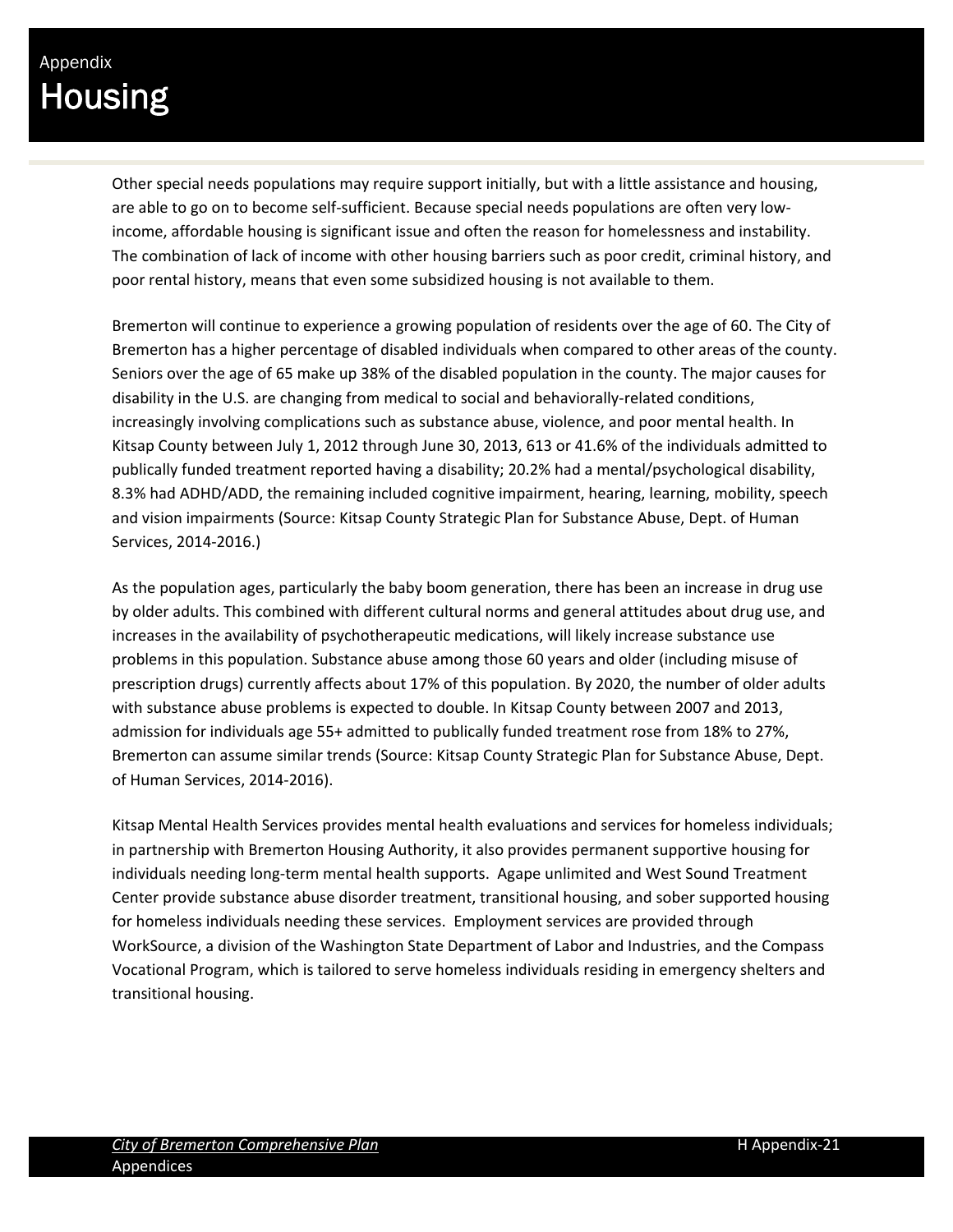Other special needs populations may require support initially, but with a little assistance and housing, are able to go on to become self-sufficient. Because special needs populations are often very lowincome, affordable housing is significant issue and often the reason for homelessness and instability. The combination of lack of income with other housing barriers such as poor credit, criminal history, and poor rental history, means that even some subsidized housing is not available to them.

Bremerton will continue to experience a growing population of residents over the age of 60. The City of Bremerton has a higher percentage of disabled individuals when compared to other areas of the county. Seniors over the age of 65 make up 38% of the disabled population in the county. The major causes for disability in the U.S. are changing from medical to social and behaviorally‐related conditions, increasingly involving complications such as substance abuse, violence, and poor mental health. In Kitsap County between July 1, 2012 through June 30, 2013, 613 or 41.6% of the individuals admitted to publically funded treatment reported having a disability; 20.2% had a mental/psychological disability, 8.3% had ADHD/ADD, the remaining included cognitive impairment, hearing, learning, mobility, speech and vision impairments (Source: Kitsap County Strategic Plan for Substance Abuse, Dept. of Human Services, 2014‐2016.)

As the population ages, particularly the baby boom generation, there has been an increase in drug use by older adults. This combined with different cultural norms and general attitudes about drug use, and increases in the availability of psychotherapeutic medications, will likely increase substance use problems in this population. Substance abuse among those 60 years and older (including misuse of prescription drugs) currently affects about 17% of this population. By 2020, the number of older adults with substance abuse problems is expected to double. In Kitsap County between 2007 and 2013, admission for individuals age 55+ admitted to publically funded treatment rose from 18% to 27%, Bremerton can assume similar trends (Source: Kitsap County Strategic Plan for Substance Abuse, Dept. of Human Services, 2014‐2016).

Kitsap Mental Health Services provides mental health evaluations and services for homeless individuals; in partnership with Bremerton Housing Authority, it also provides permanent supportive housing for individuals needing long‐term mental health supports. Agape unlimited and West Sound Treatment Center provide substance abuse disorder treatment, transitional housing, and sober supported housing for homeless individuals needing these services. Employment services are provided through WorkSource, a division of the Washington State Department of Labor and Industries, and the Compass Vocational Program, which is tailored to serve homeless individuals residing in emergency shelters and transitional housing.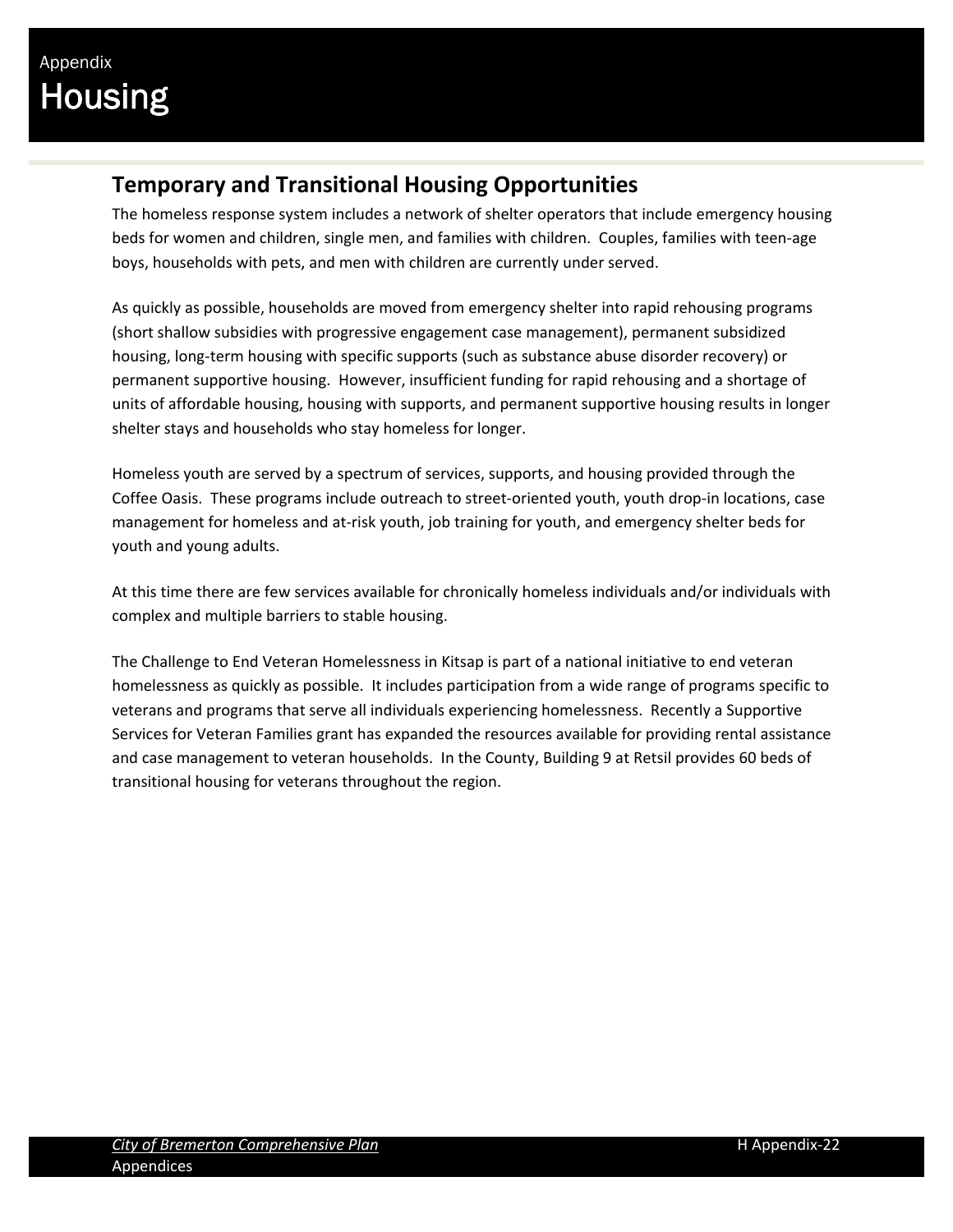### **Temporary and Transitional Housing Opportunities**

The homeless response system includes a network of shelter operators that include emergency housing beds for women and children, single men, and families with children. Couples, families with teen-age boys, households with pets, and men with children are currently under served.

As quickly as possible, households are moved from emergency shelter into rapid rehousing programs (short shallow subsidies with progressive engagement case management), permanent subsidized housing, long-term housing with specific supports (such as substance abuse disorder recovery) or permanent supportive housing. However, insufficient funding for rapid rehousing and a shortage of units of affordable housing, housing with supports, and permanent supportive housing results in longer shelter stays and households who stay homeless for longer.

Homeless youth are served by a spectrum of services, supports, and housing provided through the Coffee Oasis. These programs include outreach to street‐oriented youth, youth drop‐in locations, case management for homeless and at‐risk youth, job training for youth, and emergency shelter beds for youth and young adults.

At this time there are few services available for chronically homeless individuals and/or individuals with complex and multiple barriers to stable housing.

The Challenge to End Veteran Homelessness in Kitsap is part of a national initiative to end veteran homelessness as quickly as possible. It includes participation from a wide range of programs specific to veterans and programs that serve all individuals experiencing homelessness. Recently a Supportive Services for Veteran Families grant has expanded the resources available for providing rental assistance and case management to veteran households. In the County, Building 9 at Retsil provides 60 beds of transitional housing for veterans throughout the region.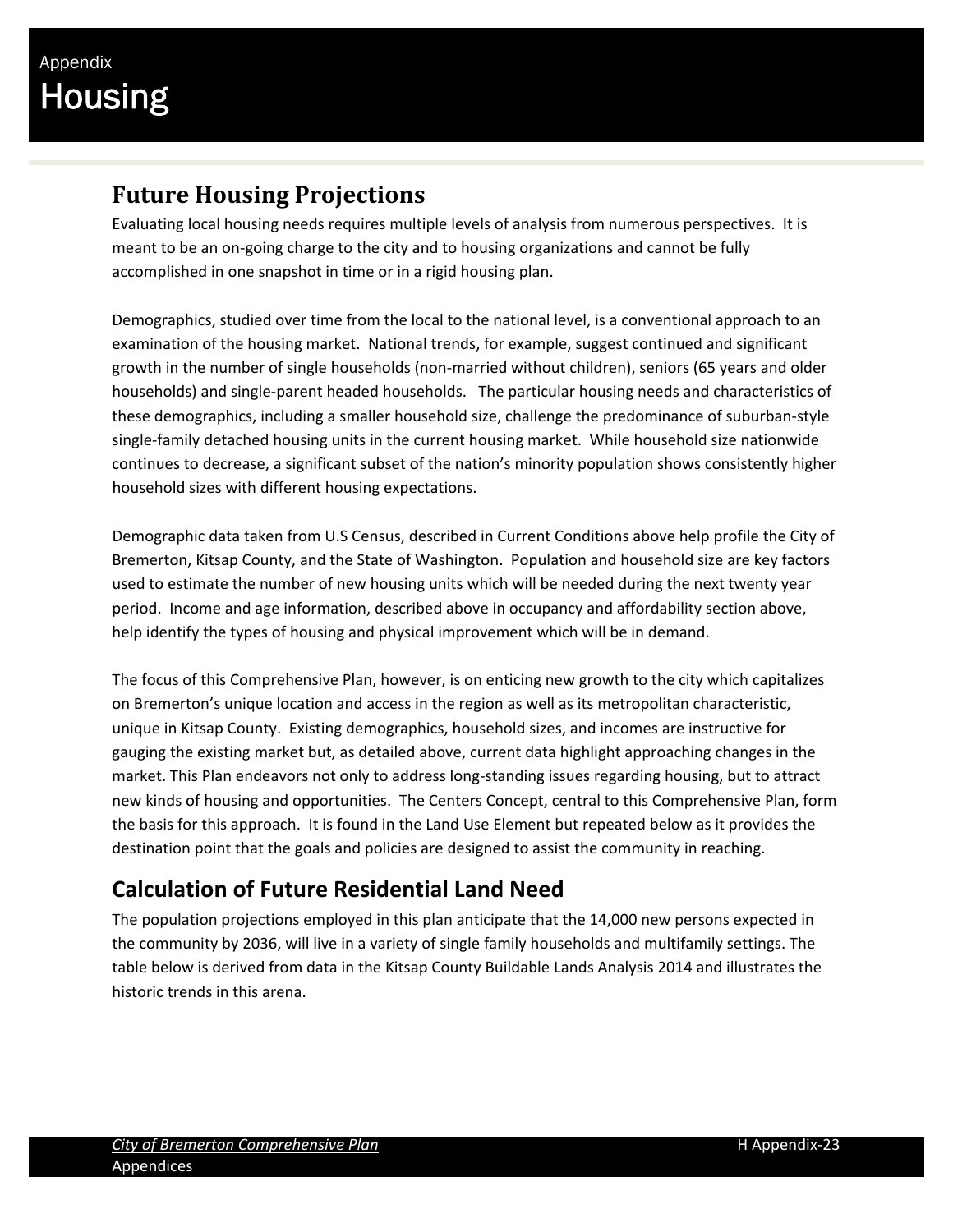### **Future Housing Projections**

Evaluating local housing needs requires multiple levels of analysis from numerous perspectives. It is meant to be an on‐going charge to the city and to housing organizations and cannot be fully accomplished in one snapshot in time or in a rigid housing plan.

Demographics, studied over time from the local to the national level, is a conventional approach to an examination of the housing market. National trends, for example, suggest continued and significant growth in the number of single households (non-married without children), seniors (65 years and older households) and single‐parent headed households. The particular housing needs and characteristics of these demographics, including a smaller household size, challenge the predominance of suburban‐style single-family detached housing units in the current housing market. While household size nationwide continues to decrease, a significant subset of the nation's minority population shows consistently higher household sizes with different housing expectations.

Demographic data taken from U.S Census, described in Current Conditions above help profile the City of Bremerton, Kitsap County, and the State of Washington. Population and household size are key factors used to estimate the number of new housing units which will be needed during the next twenty year period. Income and age information, described above in occupancy and affordability section above, help identify the types of housing and physical improvement which will be in demand.

The focus of this Comprehensive Plan, however, is on enticing new growth to the city which capitalizes on Bremerton's unique location and access in the region as well as its metropolitan characteristic, unique in Kitsap County. Existing demographics, household sizes, and incomes are instructive for gauging the existing market but, as detailed above, current data highlight approaching changes in the market. This Plan endeavors not only to address long‐standing issues regarding housing, but to attract new kinds of housing and opportunities. The Centers Concept, central to this Comprehensive Plan, form the basis for this approach. It is found in the Land Use Element but repeated below as it provides the destination point that the goals and policies are designed to assist the community in reaching.

### **Calculation of Future Residential Land Need**

The population projections employed in this plan anticipate that the 14,000 new persons expected in the community by 2036, will live in a variety of single family households and multifamily settings. The table below is derived from data in the Kitsap County Buildable Lands Analysis 2014 and illustrates the historic trends in this arena.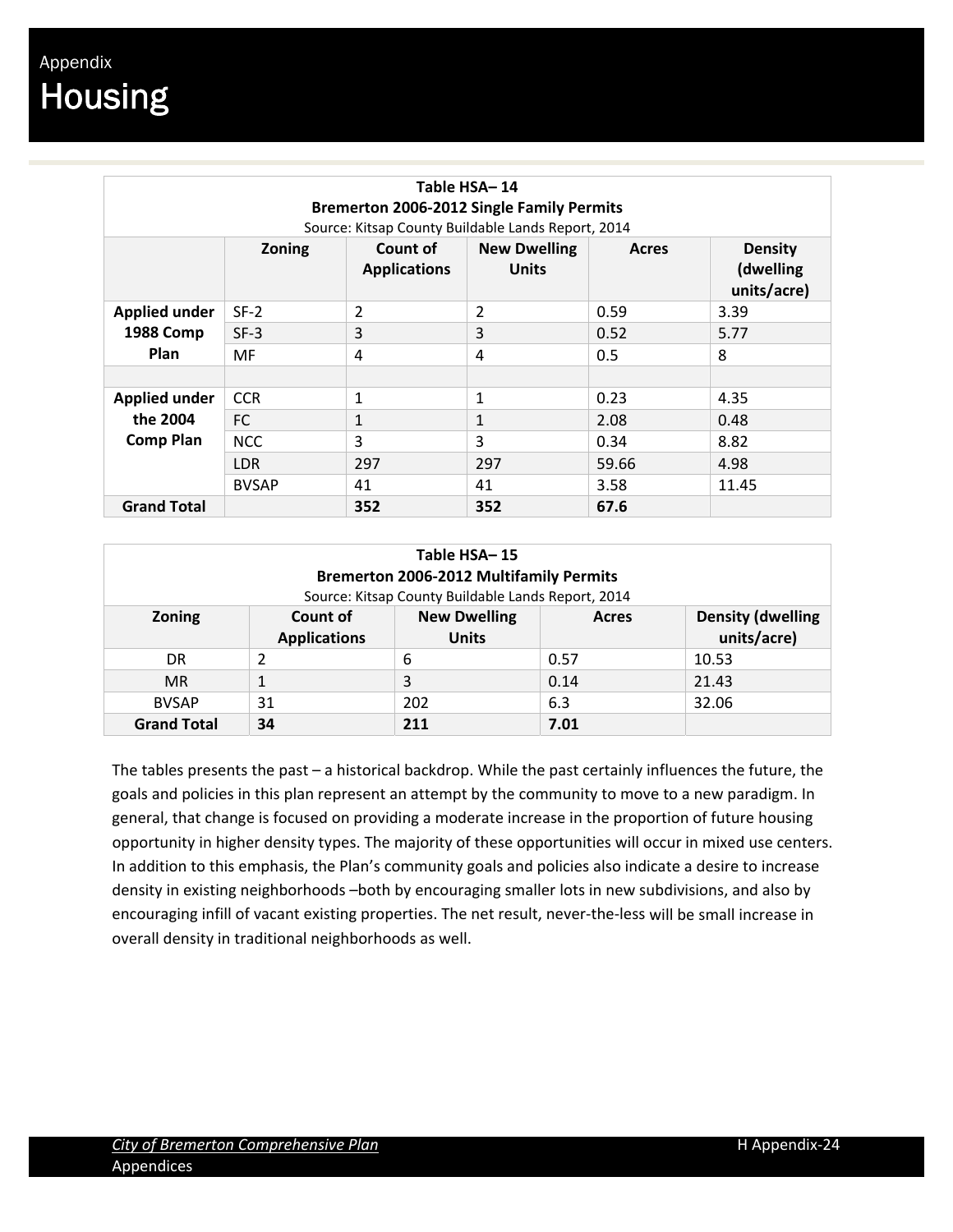| Table HSA-14<br><b>Bremerton 2006-2012 Single Family Permits</b><br>Source: Kitsap County Buildable Lands Report, 2014 |               |                                 |                                     |       |                                            |  |
|------------------------------------------------------------------------------------------------------------------------|---------------|---------------------------------|-------------------------------------|-------|--------------------------------------------|--|
|                                                                                                                        | <b>Zoning</b> | Count of<br><b>Applications</b> | <b>New Dwelling</b><br><b>Units</b> | Acres | <b>Density</b><br>(dwelling<br>units/acre) |  |
| <b>Applied under</b>                                                                                                   | $SF-2$        | $\overline{2}$                  | $\overline{2}$                      | 0.59  | 3.39                                       |  |
| <b>1988 Comp</b>                                                                                                       | $SF-3$        | 3                               | 3                                   | 0.52  | 5.77                                       |  |
| Plan                                                                                                                   | MF            | 4                               | 4                                   | 0.5   | 8                                          |  |
|                                                                                                                        |               |                                 |                                     |       |                                            |  |
| <b>Applied under</b>                                                                                                   | <b>CCR</b>    | 1                               | $\mathbf{1}$                        | 0.23  | 4.35                                       |  |
| the 2004                                                                                                               | FC            | 1                               | 1                                   | 2.08  | 0.48                                       |  |
| <b>Comp Plan</b>                                                                                                       | <b>NCC</b>    | 3                               | 3                                   | 0.34  | 8.82                                       |  |
|                                                                                                                        | <b>LDR</b>    | 297                             | 297                                 | 59.66 | 4.98                                       |  |
|                                                                                                                        | <b>BVSAP</b>  | 41                              | 41                                  | 3.58  | 11.45                                      |  |
| <b>Grand Total</b>                                                                                                     |               | 352                             | 352                                 | 67.6  |                                            |  |

| Table HSA-15<br><b>Bremerton 2006-2012 Multifamily Permits</b><br>Source: Kitsap County Buildable Lands Report, 2014 |                                                                        |     |       |                                         |  |  |
|----------------------------------------------------------------------------------------------------------------------|------------------------------------------------------------------------|-----|-------|-----------------------------------------|--|--|
| <b>Zoning</b>                                                                                                        | <b>New Dwelling</b><br>Count of<br><b>Applications</b><br><b>Units</b> |     | Acres | <b>Density (dwelling</b><br>units/acre) |  |  |
| DR.                                                                                                                  | 2                                                                      | 6   | 0.57  | 10.53                                   |  |  |
| <b>MR</b>                                                                                                            |                                                                        | 3   | 0.14  | 21.43                                   |  |  |
| <b>BVSAP</b>                                                                                                         | 31                                                                     | 202 | 6.3   | 32.06                                   |  |  |
| <b>Grand Total</b>                                                                                                   | 34                                                                     | 211 | 7.01  |                                         |  |  |

The tables presents the past – a historical backdrop. While the past certainly influences the future, the goals and policies in this plan represent an attempt by the community to move to a new paradigm. In general, that change is focused on providing a moderate increase in the proportion of future housing opportunity in higher density types. The majority of these opportunities will occur in mixed use centers. In addition to this emphasis, the Plan's community goals and policies also indicate a desire to increase density in existing neighborhoods –both by encouraging smaller lots in new subdivisions, and also by encouraging infill of vacant existing properties. The net result, never-the-less will be small increase in overall density in traditional neighborhoods as well.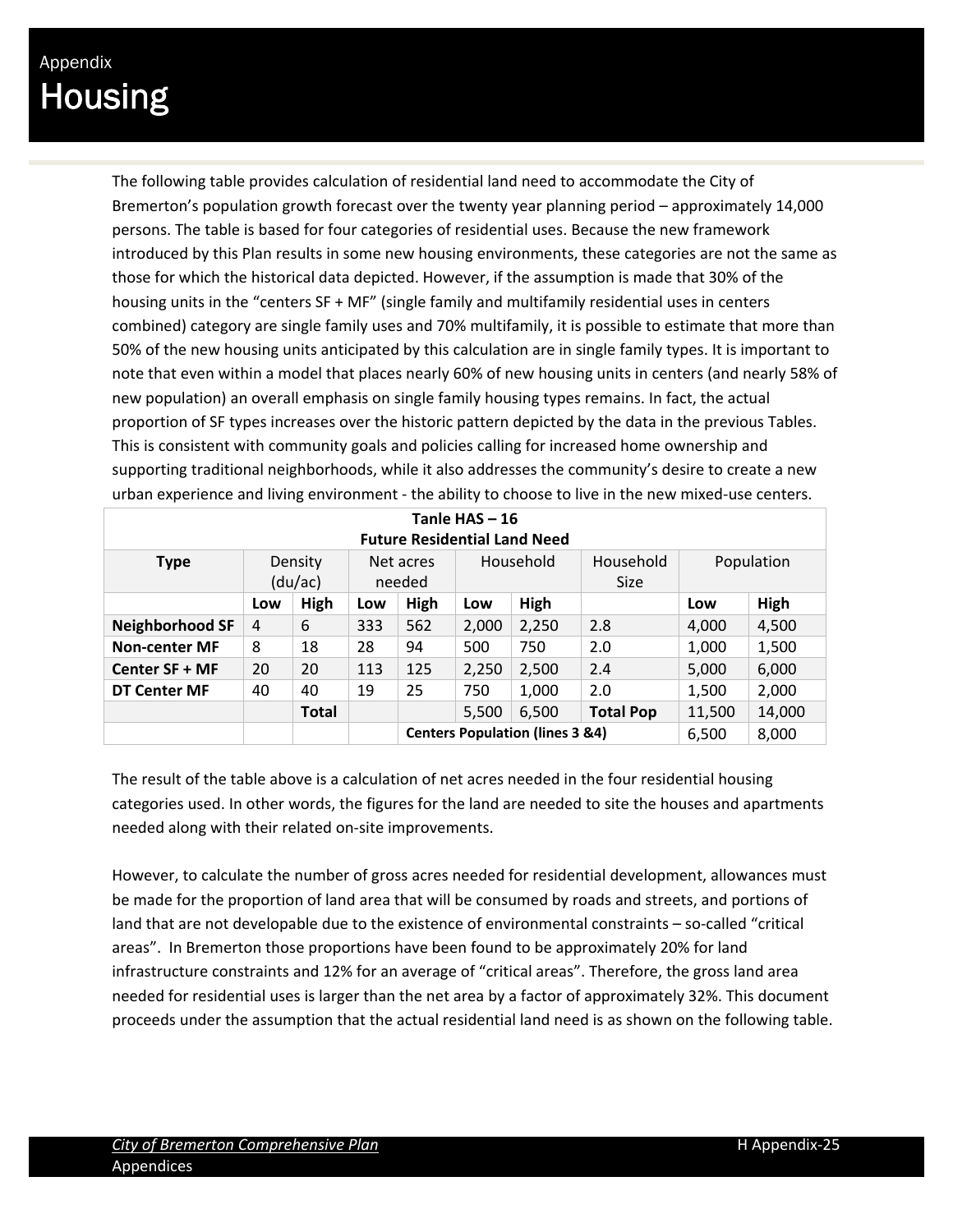The following table provides calculation of residential land need to accommodate the City of Bremerton's population growth forecast over the twenty year planning period – approximately 14,000 persons. The table is based for four categories of residential uses. Because the new framework introduced by this Plan results in some new housing environments, these categories are not the same as those for which the historical data depicted. However, if the assumption is made that 30% of the housing units in the "centers SF + MF" (single family and multifamily residential uses in centers combined) category are single family uses and 70% multifamily, it is possible to estimate that more than 50% of the new housing units anticipated by this calculation are in single family types. It is important to note that even within a model that places nearly 60% of new housing units in centers (and nearly 58% of new population) an overall emphasis on single family housing types remains. In fact, the actual proportion of SF types increases over the historic pattern depicted by the data in the previous Tables. This is consistent with community goals and policies calling for increased home ownership and supporting traditional neighborhoods, while it also addresses the community's desire to create a new urban experience and living environment ‐ the ability to choose to live in the new mixed‐use centers.

| Tanle $HAS - 16$<br><b>Future Residential Land Need</b> |     |                    |                                            |                     |           |       |                          |            |        |
|---------------------------------------------------------|-----|--------------------|--------------------------------------------|---------------------|-----------|-------|--------------------------|------------|--------|
| <b>Type</b>                                             |     | Density<br>(du/ac) |                                            | Net acres<br>needed | Household |       | Household<br><b>Size</b> | Population |        |
|                                                         | Low | High               | Low                                        | High                | Low       | High  |                          | Low        | High   |
| <b>Neighborhood SF</b>                                  | 4   | 6                  | 333                                        | 562                 | 2,000     | 2,250 | 2.8                      | 4,000      | 4,500  |
| <b>Non-center MF</b>                                    | 8   | 18                 | 28                                         | 94                  | 500       | 750   | 2.0                      | 1,000      | 1,500  |
| Center SF + MF                                          | 20  | 20                 | 113                                        | 125                 | 2,250     | 2,500 | 2.4                      | 5,000      | 6,000  |
| <b>DT Center MF</b>                                     | 40  | 40                 | 19                                         | 25                  | 750       | 1,000 | 2.0                      | 1,500      | 2,000  |
|                                                         |     | <b>Total</b>       |                                            |                     | 5,500     | 6,500 | <b>Total Pop</b>         | 11,500     | 14,000 |
|                                                         |     |                    | <b>Centers Population (lines 3 &amp;4)</b> |                     |           |       | 6,500                    | 8,000      |        |

The result of the table above is a calculation of net acres needed in the four residential housing categories used. In other words, the figures for the land are needed to site the houses and apartments needed along with their related on‐site improvements.

However, to calculate the number of gross acres needed for residential development, allowances must be made for the proportion of land area that will be consumed by roads and streets, and portions of land that are not developable due to the existence of environmental constraints – so-called "critical areas". In Bremerton those proportions have been found to be approximately 20% for land infrastructure constraints and 12% for an average of "critical areas". Therefore, the gross land area needed for residential uses is larger than the net area by a factor of approximately 32%. This document proceeds under the assumption that the actual residential land need is as shown on the following table.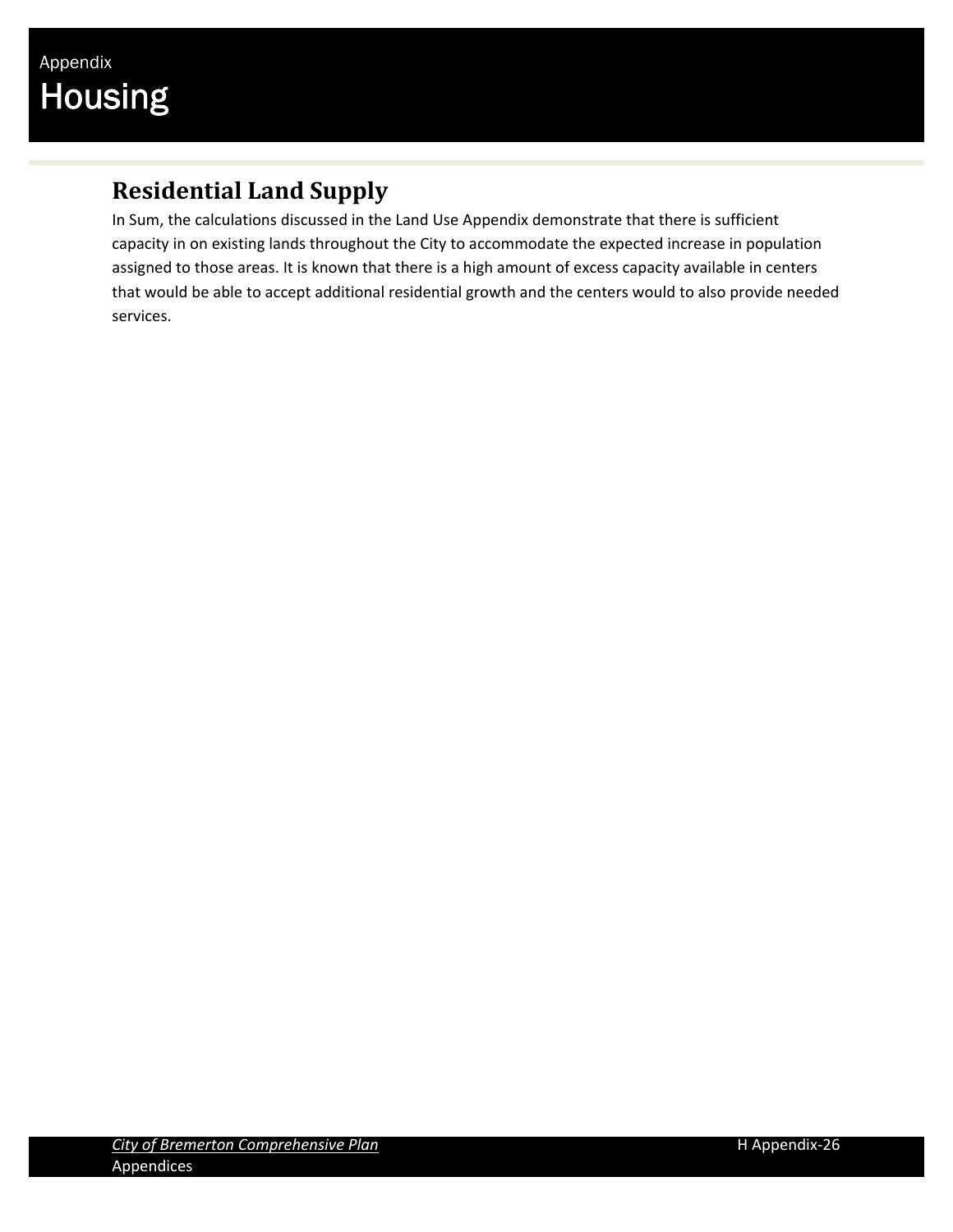### **Residential Land Supply**

In Sum, the calculations discussed in the Land Use Appendix demonstrate that there is sufficient capacity in on existing lands throughout the City to accommodate the expected increase in population assigned to those areas. It is known that there is a high amount of excess capacity available in centers that would be able to accept additional residential growth and the centers would to also provide needed services.